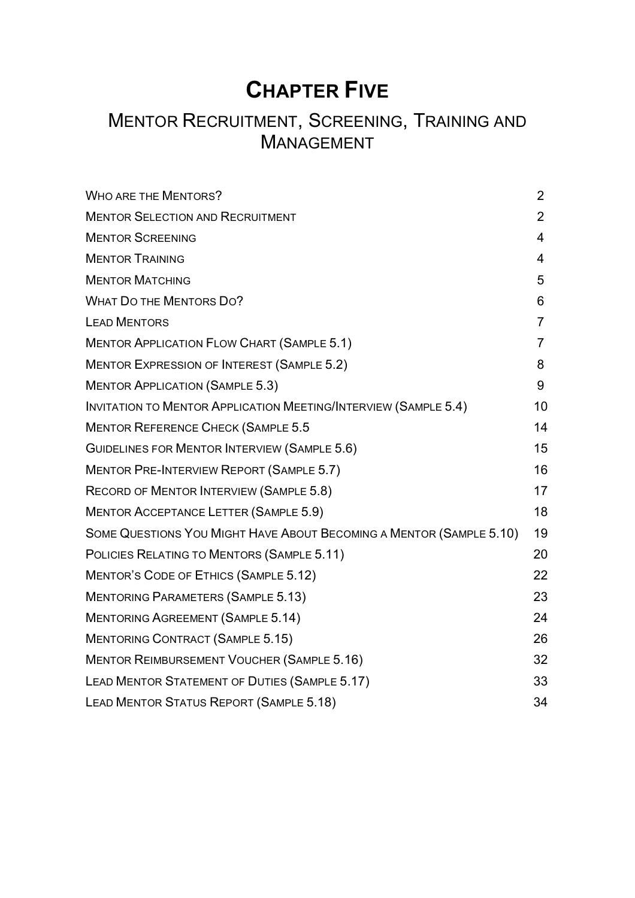# **CHAPTER FIVE**

# MENTOR RECRUITMENT, SCREENING, TRAINING AND MANAGEMENT

| <b>WHO ARE THE MENTORS?</b>                                            | $\overline{2}$ |
|------------------------------------------------------------------------|----------------|
| <b>MENTOR SELECTION AND RECRUITMENT</b>                                | $\overline{2}$ |
| <b>MENTOR SCREENING</b>                                                | 4              |
| <b>MENTOR TRAINING</b>                                                 | 4              |
| <b>MENTOR MATCHING</b>                                                 | 5              |
| <b>WHAT DO THE MENTORS DO?</b>                                         | 6              |
| <b>LEAD MENTORS</b>                                                    | $\overline{7}$ |
| <b>MENTOR APPLICATION FLOW CHART (SAMPLE 5.1)</b>                      | $\overline{7}$ |
| <b>MENTOR EXPRESSION OF INTEREST (SAMPLE 5.2)</b>                      | 8              |
| <b>MENTOR APPLICATION (SAMPLE 5.3)</b>                                 | 9              |
| <b>INVITATION TO MENTOR APPLICATION MEETING/INTERVIEW (SAMPLE 5.4)</b> | 10             |
| <b>MENTOR REFERENCE CHECK (SAMPLE 5.5</b>                              | 14             |
| GUIDELINES FOR MENTOR INTERVIEW (SAMPLE 5.6)                           | 15             |
| <b>MENTOR PRE-INTERVIEW REPORT (SAMPLE 5.7)</b>                        | 16             |
| RECORD OF MENTOR INTERVIEW (SAMPLE 5.8)                                | 17             |
| <b>MENTOR ACCEPTANCE LETTER (SAMPLE 5.9)</b>                           | 18             |
| SOME QUESTIONS YOU MIGHT HAVE ABOUT BECOMING A MENTOR (SAMPLE 5.10)    | 19             |
| POLICIES RELATING TO MENTORS (SAMPLE 5.11)                             | 20             |
| MENTOR'S CODE OF ETHICS (SAMPLE 5.12)                                  | 22             |
| <b>MENTORING PARAMETERS (SAMPLE 5.13)</b>                              | 23             |
| <b>MENTORING AGREEMENT (SAMPLE 5.14)</b>                               | 24             |
| <b>MENTORING CONTRACT (SAMPLE 5.15)</b>                                | 26             |
| <b>MENTOR REIMBURSEMENT VOUCHER (SAMPLE 5.16)</b>                      | 32             |
| LEAD MENTOR STATEMENT OF DUTIES (SAMPLE 5.17)                          | 33             |
| LEAD MENTOR STATUS REPORT (SAMPLE 5.18)                                | 34             |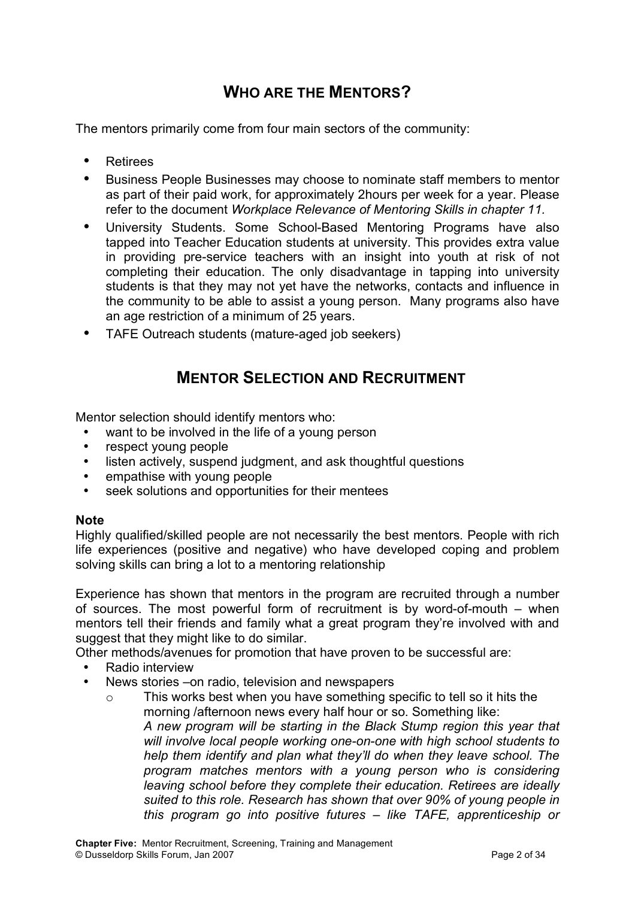## **WHO ARE THE MENTORS?**

The mentors primarily come from four main sectors of the community:

- Retirees
- Business People Businesses may choose to nominate staff members to mentor as part of their paid work, for approximately 2hours per week for a year. Please refer to the document *Workplace Relevance of Mentoring Skills in chapter 11.*
- University Students. Some School-Based Mentoring Programs have also tapped into Teacher Education students at university. This provides extra value in providing pre-service teachers with an insight into youth at risk of not completing their education. The only disadvantage in tapping into university students is that they may not yet have the networks, contacts and influence in the community to be able to assist a young person. Many programs also have an age restriction of a minimum of 25 years.
- TAFE Outreach students (mature-aged job seekers)

## **MENTOR SELECTION AND RECRUITMENT**

Mentor selection should identify mentors who:

- want to be involved in the life of a young person
- respect young people
- listen actively, suspend judgment, and ask thoughtful questions
- empathise with young people
- seek solutions and opportunities for their mentees

#### **Note**

Highly qualified/skilled people are not necessarily the best mentors. People with rich life experiences (positive and negative) who have developed coping and problem solving skills can bring a lot to a mentoring relationship

Experience has shown that mentors in the program are recruited through a number of sources. The most powerful form of recruitment is by word-of-mouth – when mentors tell their friends and family what a great program they're involved with and suggest that they might like to do similar.

Other methods/avenues for promotion that have proven to be successful are:

- Radio interview
- News stories –on radio, television and newspapers
	- o This works best when you have something specific to tell so it hits the morning /afternoon news every half hour or so. Something like: *A new program will be starting in the Black Stump region this year that will involve local people working one-on-one with high school students to help them identify and plan what they'll do when they leave school. The program matches mentors with a young person who is considering leaving school before they complete their education. Retirees are ideally suited to this role. Research has shown that over 90% of young people in this program go into positive futures – like TAFE, apprenticeship or*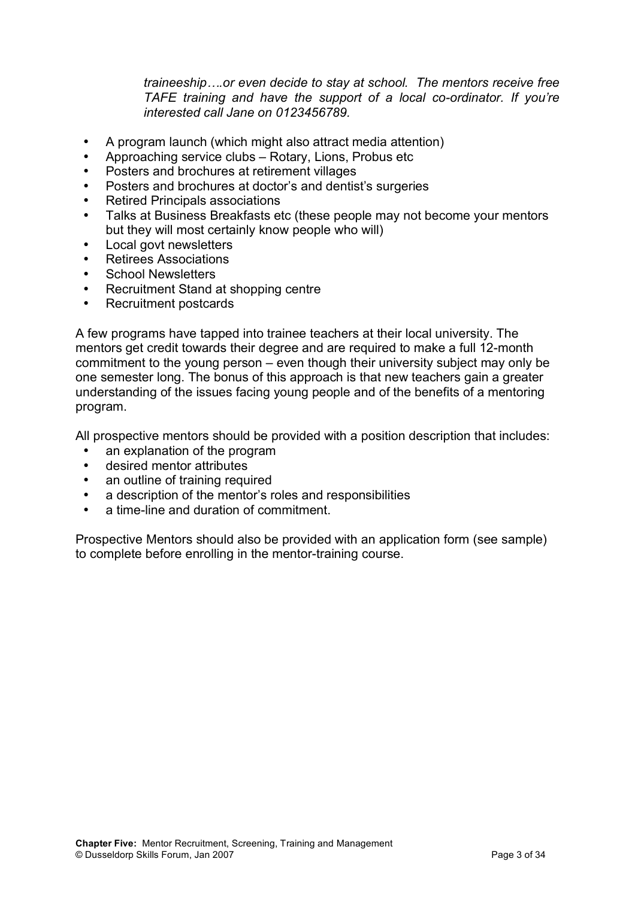*traineeship….or even decide to stay at school. The mentors receive free TAFE training and have the support of a local co-ordinator. If you're interested call Jane on 0123456789.*

- A program launch (which might also attract media attention)
- Approaching service clubs Rotary, Lions, Probus etc
- Posters and brochures at retirement villages
- Posters and brochures at doctor's and dentist's surgeries
- Retired Principals associations
- Talks at Business Breakfasts etc (these people may not become your mentors but they will most certainly know people who will)
- Local govt newsletters
- Retirees Associations
- School Newsletters
- Recruitment Stand at shopping centre
- Recruitment postcards

A few programs have tapped into trainee teachers at their local university. The mentors get credit towards their degree and are required to make a full 12-month commitment to the young person – even though their university subject may only be one semester long. The bonus of this approach is that new teachers gain a greater understanding of the issues facing young people and of the benefits of a mentoring program.

All prospective mentors should be provided with a position description that includes:

- an explanation of the program
- desired mentor attributes
- an outline of training required
- a description of the mentor's roles and responsibilities
- a time-line and duration of commitment.

Prospective Mentors should also be provided with an application form (see sample) to complete before enrolling in the mentor-training course.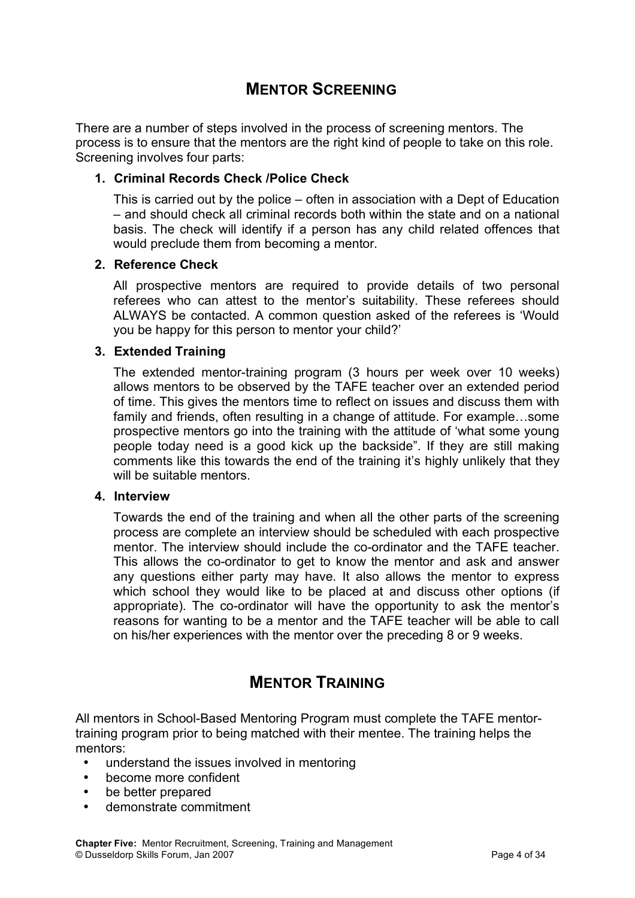## **MENTOR SCREENING**

There are a number of steps involved in the process of screening mentors. The process is to ensure that the mentors are the right kind of people to take on this role. Screening involves four parts:

#### **1. Criminal Records Check /Police Check**

This is carried out by the police – often in association with a Dept of Education – and should check all criminal records both within the state and on a national basis. The check will identify if a person has any child related offences that would preclude them from becoming a mentor.

#### **2. Reference Check**

All prospective mentors are required to provide details of two personal referees who can attest to the mentor's suitability. These referees should ALWAYS be contacted. A common question asked of the referees is 'Would you be happy for this person to mentor your child?'

#### **3. Extended Training**

The extended mentor-training program (3 hours per week over 10 weeks) allows mentors to be observed by the TAFE teacher over an extended period of time. This gives the mentors time to reflect on issues and discuss them with family and friends, often resulting in a change of attitude. For example…some prospective mentors go into the training with the attitude of 'what some young people today need is a good kick up the backside". If they are still making comments like this towards the end of the training it's highly unlikely that they will be suitable mentors.

#### **4. Interview**

Towards the end of the training and when all the other parts of the screening process are complete an interview should be scheduled with each prospective mentor. The interview should include the co-ordinator and the TAFE teacher. This allows the co-ordinator to get to know the mentor and ask and answer any questions either party may have. It also allows the mentor to express which school they would like to be placed at and discuss other options (if appropriate). The co-ordinator will have the opportunity to ask the mentor's reasons for wanting to be a mentor and the TAFE teacher will be able to call on his/her experiences with the mentor over the preceding 8 or 9 weeks.

## **MENTOR TRAINING**

All mentors in School-Based Mentoring Program must complete the TAFE mentortraining program prior to being matched with their mentee. The training helps the mentors:

- understand the issues involved in mentoring
- become more confident
- be better prepared
- demonstrate commitment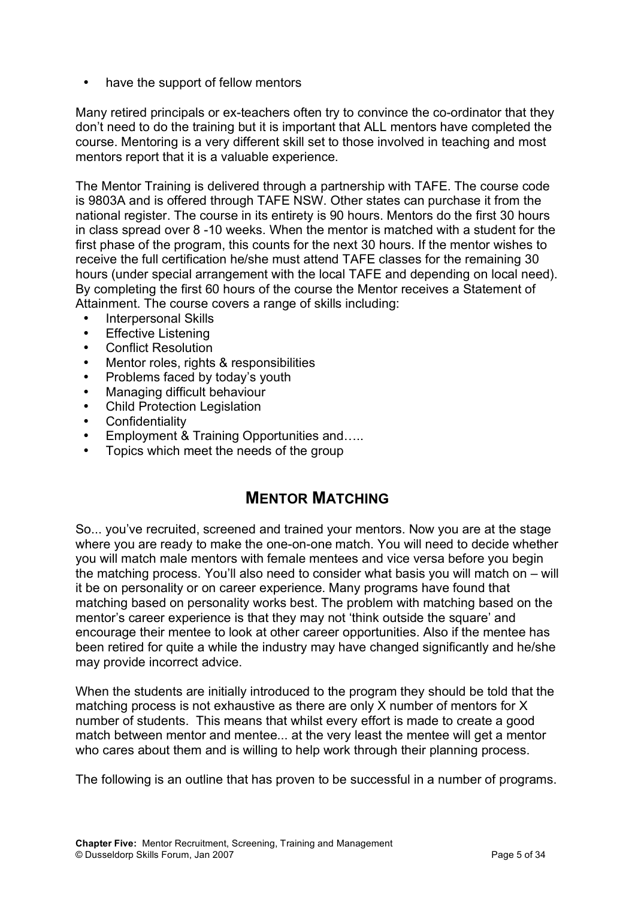• have the support of fellow mentors

Many retired principals or ex-teachers often try to convince the co-ordinator that they don't need to do the training but it is important that ALL mentors have completed the course. Mentoring is a very different skill set to those involved in teaching and most mentors report that it is a valuable experience.

The Mentor Training is delivered through a partnership with TAFE. The course code is 9803A and is offered through TAFE NSW. Other states can purchase it from the national register. The course in its entirety is 90 hours. Mentors do the first 30 hours in class spread over 8 -10 weeks. When the mentor is matched with a student for the first phase of the program, this counts for the next 30 hours. If the mentor wishes to receive the full certification he/she must attend TAFE classes for the remaining 30 hours (under special arrangement with the local TAFE and depending on local need). By completing the first 60 hours of the course the Mentor receives a Statement of Attainment. The course covers a range of skills including:

- Interpersonal Skills
- **Effective Listening**
- Conflict Resolution
- Mentor roles, rights & responsibilities
- Problems faced by today's youth
- Managing difficult behaviour
- Child Protection Legislation
- Confidentiality
- Employment & Training Opportunities and…..
- Topics which meet the needs of the group

## **MENTOR MATCHING**

So... you've recruited, screened and trained your mentors. Now you are at the stage where you are ready to make the one-on-one match. You will need to decide whether you will match male mentors with female mentees and vice versa before you begin the matching process. You'll also need to consider what basis you will match on – will it be on personality or on career experience. Many programs have found that matching based on personality works best. The problem with matching based on the mentor's career experience is that they may not 'think outside the square' and encourage their mentee to look at other career opportunities. Also if the mentee has been retired for quite a while the industry may have changed significantly and he/she may provide incorrect advice.

When the students are initially introduced to the program they should be told that the matching process is not exhaustive as there are only X number of mentors for X number of students. This means that whilst every effort is made to create a good match between mentor and mentee... at the very least the mentee will get a mentor who cares about them and is willing to help work through their planning process.

The following is an outline that has proven to be successful in a number of programs.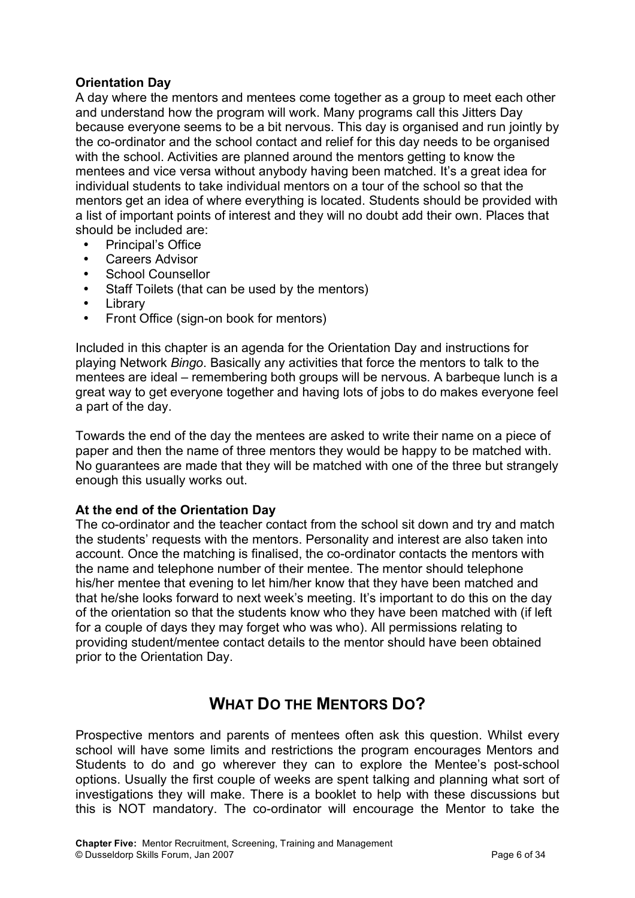#### **Orientation Day**

A day where the mentors and mentees come together as a group to meet each other and understand how the program will work. Many programs call this Jitters Day because everyone seems to be a bit nervous. This day is organised and run jointly by the co-ordinator and the school contact and relief for this day needs to be organised with the school. Activities are planned around the mentors getting to know the mentees and vice versa without anybody having been matched. It's a great idea for individual students to take individual mentors on a tour of the school so that the mentors get an idea of where everything is located. Students should be provided with a list of important points of interest and they will no doubt add their own. Places that should be included are:

- Principal's Office
- Careers Advisor
- School Counsellor
- Staff Toilets (that can be used by the mentors)
- **Library**
- Front Office (sign-on book for mentors)

Included in this chapter is an agenda for the Orientation Day and instructions for playing Network *Bingo*. Basically any activities that force the mentors to talk to the mentees are ideal – remembering both groups will be nervous. A barbeque lunch is a great way to get everyone together and having lots of jobs to do makes everyone feel a part of the day.

Towards the end of the day the mentees are asked to write their name on a piece of paper and then the name of three mentors they would be happy to be matched with. No guarantees are made that they will be matched with one of the three but strangely enough this usually works out.

#### **At the end of the Orientation Day**

The co-ordinator and the teacher contact from the school sit down and try and match the students' requests with the mentors. Personality and interest are also taken into account. Once the matching is finalised, the co-ordinator contacts the mentors with the name and telephone number of their mentee. The mentor should telephone his/her mentee that evening to let him/her know that they have been matched and that he/she looks forward to next week's meeting. It's important to do this on the day of the orientation so that the students know who they have been matched with (if left for a couple of days they may forget who was who). All permissions relating to providing student/mentee contact details to the mentor should have been obtained prior to the Orientation Day.

## **WHAT DO THE MENTORS DO?**

Prospective mentors and parents of mentees often ask this question. Whilst every school will have some limits and restrictions the program encourages Mentors and Students to do and go wherever they can to explore the Mentee's post-school options. Usually the first couple of weeks are spent talking and planning what sort of investigations they will make. There is a booklet to help with these discussions but this is NOT mandatory. The co-ordinator will encourage the Mentor to take the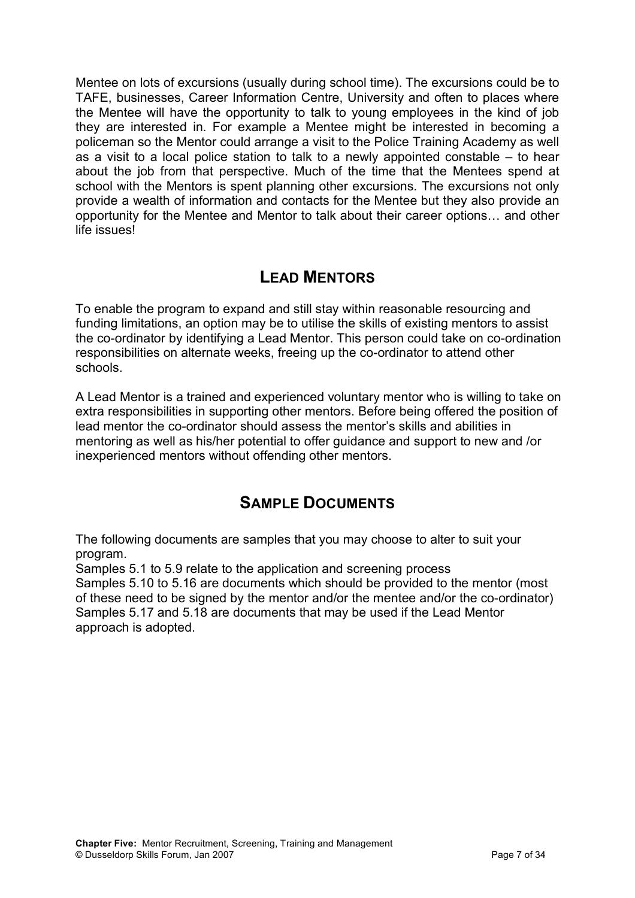Mentee on lots of excursions (usually during school time). The excursions could be to TAFE, businesses, Career Information Centre, University and often to places where the Mentee will have the opportunity to talk to young employees in the kind of job they are interested in. For example a Mentee might be interested in becoming a policeman so the Mentor could arrange a visit to the Police Training Academy as well as a visit to a local police station to talk to a newly appointed constable – to hear about the job from that perspective. Much of the time that the Mentees spend at school with the Mentors is spent planning other excursions. The excursions not only provide a wealth of information and contacts for the Mentee but they also provide an opportunity for the Mentee and Mentor to talk about their career options… and other life issues!

## **LEAD MENTORS**

To enable the program to expand and still stay within reasonable resourcing and funding limitations, an option may be to utilise the skills of existing mentors to assist the co-ordinator by identifying a Lead Mentor. This person could take on co-ordination responsibilities on alternate weeks, freeing up the co-ordinator to attend other schools.

A Lead Mentor is a trained and experienced voluntary mentor who is willing to take on extra responsibilities in supporting other mentors. Before being offered the position of lead mentor the co-ordinator should assess the mentor's skills and abilities in mentoring as well as his/her potential to offer guidance and support to new and /or inexperienced mentors without offending other mentors.

## **SAMPLE DOCUMENTS**

The following documents are samples that you may choose to alter to suit your program.

Samples 5.1 to 5.9 relate to the application and screening process

Samples 5.10 to 5.16 are documents which should be provided to the mentor (most of these need to be signed by the mentor and/or the mentee and/or the co-ordinator) Samples 5.17 and 5.18 are documents that may be used if the Lead Mentor approach is adopted.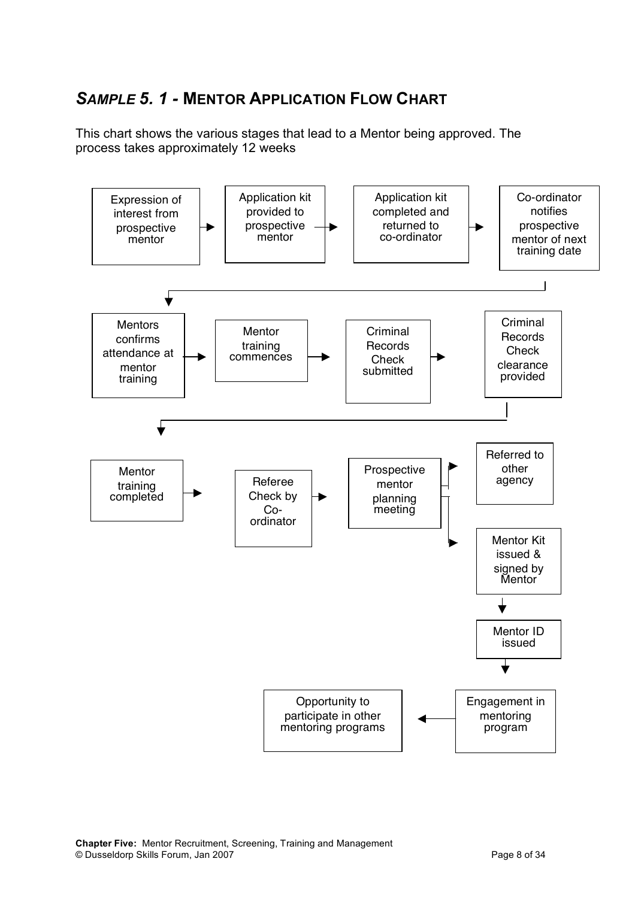# *SAMPLE 5. 1 -* **MENTOR APPLICATION FLOW CHART**

This chart shows the various stages that lead to a Mentor being approved. The process takes approximately 12 weeks

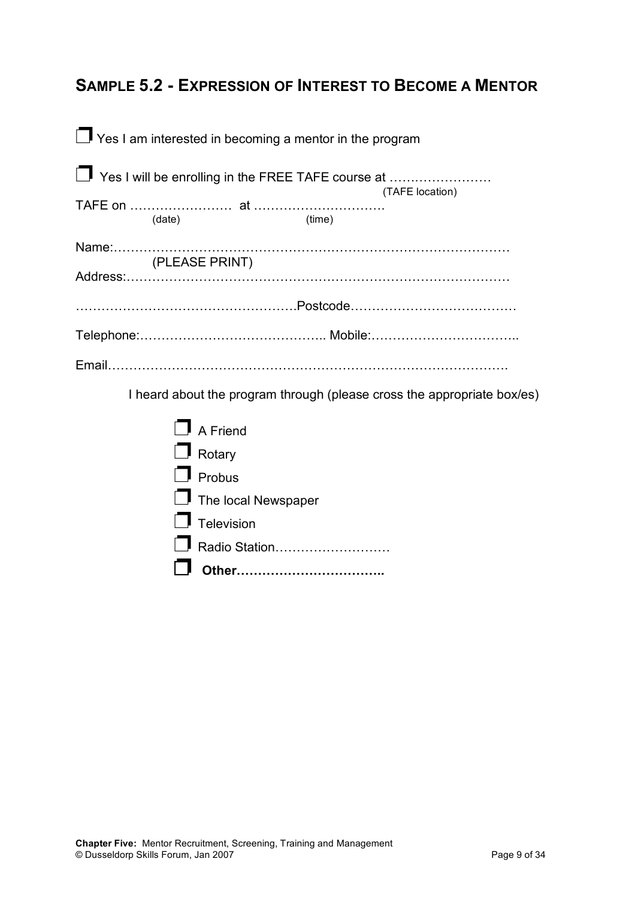## **SAMPLE 5.2 - EXPRESSION OF INTEREST TO BECOME A MENTOR**

| $\Box$ Yes I am interested in becoming a mentor in the program |                 |
|----------------------------------------------------------------|-----------------|
| □ Yes I will be enrolling in the FREE TAFE course at           | (TAFE location) |
| (date)<br>(time)                                               |                 |
| (PLEASE PRINT)                                                 |                 |
|                                                                |                 |
|                                                                |                 |
|                                                                |                 |

I heard about the program through (please cross the appropriate box/es)

| <b>Radio Station</b>       |
|----------------------------|
| $\Box$ Television          |
| $\Box$ The local Newspaper |
| $\Box$ Probus              |
| $\Box$ Rotary              |
| $\Box$ A Friend            |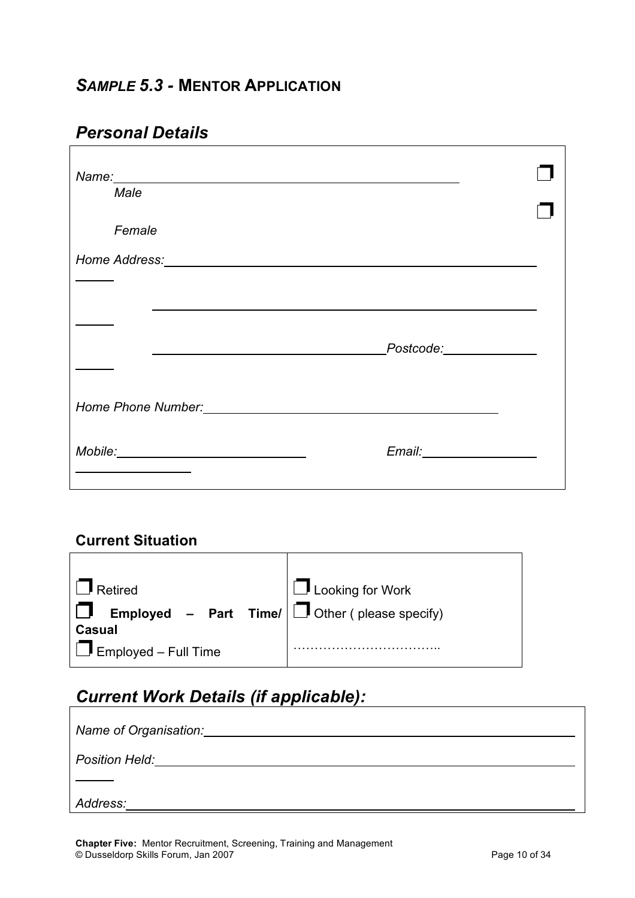## *Personal Details*

| Male                                                                                                                                                                                                                           |                          |  |
|--------------------------------------------------------------------------------------------------------------------------------------------------------------------------------------------------------------------------------|--------------------------|--|
| Female                                                                                                                                                                                                                         |                          |  |
|                                                                                                                                                                                                                                |                          |  |
|                                                                                                                                                                                                                                |                          |  |
|                                                                                                                                                                                                                                |                          |  |
|                                                                                                                                                                                                                                | _Postcode:______________ |  |
|                                                                                                                                                                                                                                |                          |  |
| Home Phone Number: National Assembly Phone Phone Number:                                                                                                                                                                       |                          |  |
| Mobile: Mobile: Mobile: Mobile: Mobile: Mobile: Mobile: Mobile: Mobile: Mobile: Mobile: Mobile: Mobile: Mobile: Mobile: Mobile: Mobile: Mobile: Mobile: Mobile: Mobile: Mobile: Mobile: Mobile: Mobile: Mobile: Mobile: Mobile |                          |  |
|                                                                                                                                                                                                                                |                          |  |

### **Current Situation**

| $\Box$ Retired<br><b>Employed</b> – Part Time/ $\boxed{\Box}$ Other (please specify) | $\Box$ Looking for Work |
|--------------------------------------------------------------------------------------|-------------------------|
| <b>Casual</b><br>$\Box$ Employed – Full Time                                         |                         |

# *Current Work Details (if applicable):*

| Name of Organisation:                             |
|---------------------------------------------------|
| <b>Position Held:</b> Position <b>And Algebra</b> |
|                                                   |
| Address:                                          |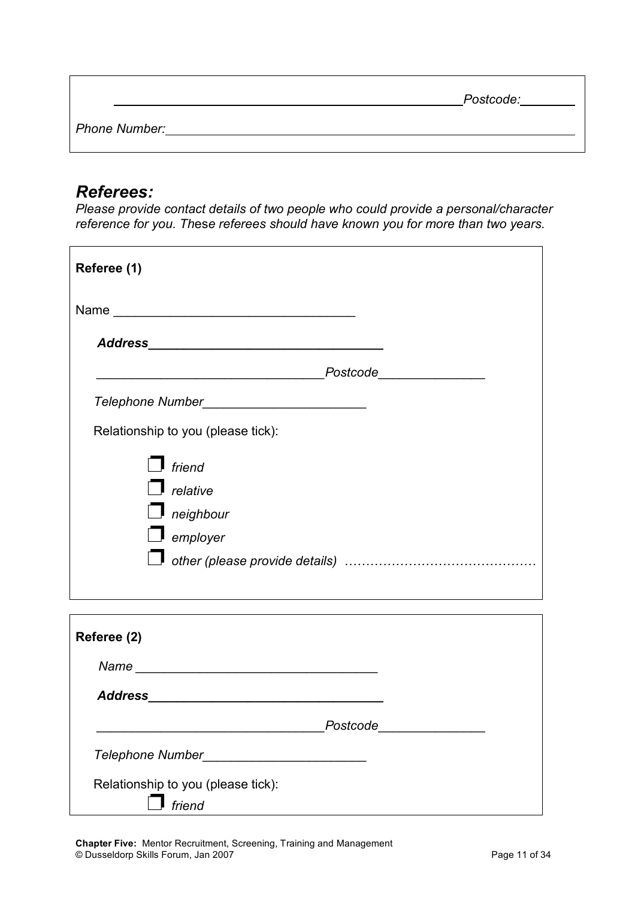|               | Postcode: |
|---------------|-----------|
| Phone Number: |           |

## *Referees:*

*Please provide contact details of two people who could provide a personal/character reference for you. Th*es*e referees should have known you for more than two years.*

| Referee (1)                        |
|------------------------------------|
|                                    |
|                                    |
| Postcode_______________            |
|                                    |
| Relationship to you (please tick): |
| friend                             |
| $\blacksquare$ relative            |
| neighbour                          |
| $\Box$ employer                    |
|                                    |
|                                    |
|                                    |
| Referee (2)                        |
|                                    |
|                                    |
| _Postcode__________________        |
| Telephone Number_                  |
| Relationship to you (please tick): |
| friend                             |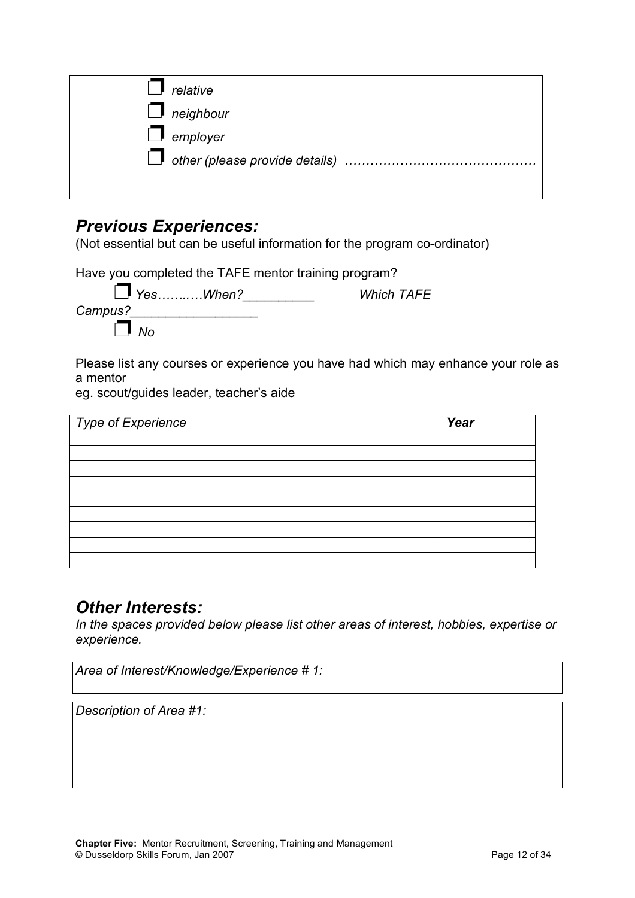| relative         |  |
|------------------|--|
| $\Box$ neighbour |  |
| $\Box$ employer  |  |
|                  |  |
|                  |  |

## *Previous Experiences:*

(Not essential but can be useful information for the program co-ordinator)

Have you completed the TAFE mentor training program?

| Campus? | $\Box$ Yes  When? | <b>Which TAFE</b> |
|---------|-------------------|-------------------|
|         | $\parallel$ Mo    |                   |

Please list any courses or experience you have had which may enhance your role as a mentor

eg. scout/guides leader, teacher's aide

| Type of Experience | Year |
|--------------------|------|
|                    |      |
|                    |      |
|                    |      |
|                    |      |
|                    |      |
|                    |      |
|                    |      |
|                    |      |
|                    |      |

## *Other Interests:*

*In the spaces provided below please list other areas of interest, hobbies, expertise or experience.*

|  | Area of Interest/Knowledge/Experience #1: |  |
|--|-------------------------------------------|--|
|  |                                           |  |

*Description of Area #1:*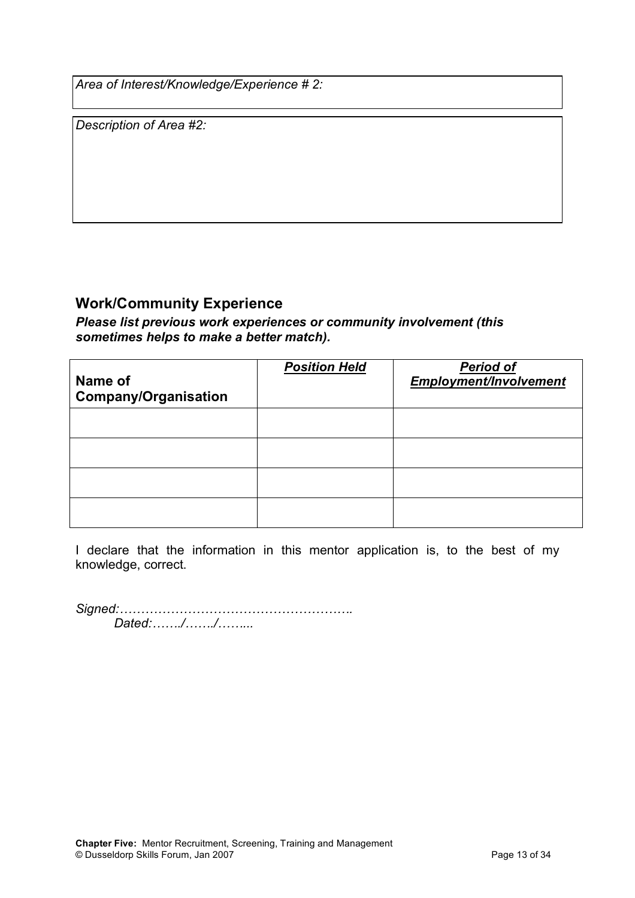*Area of Interest/Knowledge/Experience # 2:*

*Description of Area #2:*

#### **Work/Community Experience**

*Please list previous work experiences or community involvement (this sometimes helps to make a better match).*

| Name of<br><b>Company/Organisation</b> | <b>Position Held</b> | <b>Period of</b><br><b>Employment/Involvement</b> |
|----------------------------------------|----------------------|---------------------------------------------------|
|                                        |                      |                                                   |
|                                        |                      |                                                   |
|                                        |                      |                                                   |
|                                        |                      |                                                   |

I declare that the information in this mentor application is, to the best of my knowledge, correct.

*Signed:………………………………………………. Dated:……./……./……...*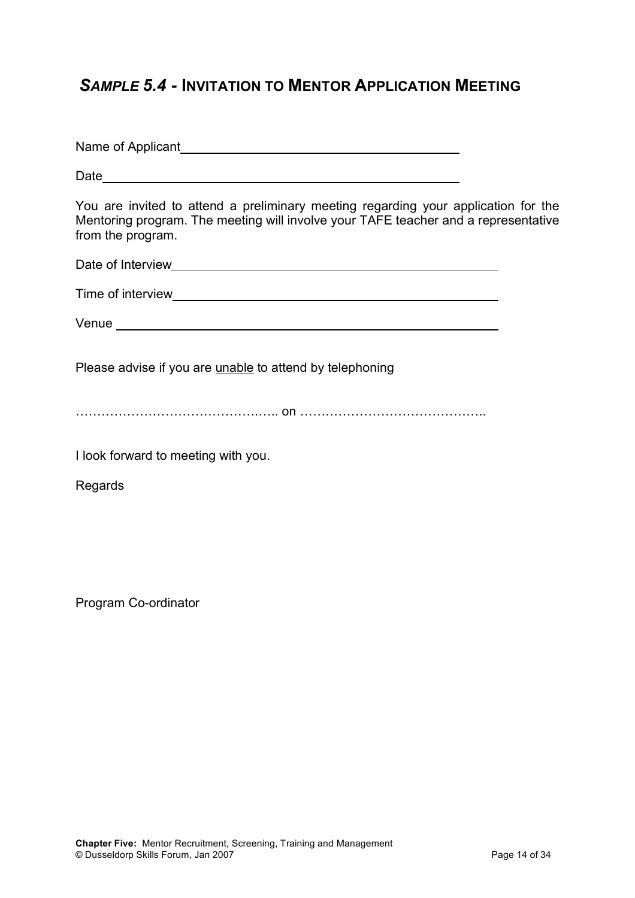## *SAMPLE 5.4 -* **INVITATION TO MENTOR APPLICATION MEETING**

Name of Applicant Date and the state of the state of the state of the state of the state of the state of the state of the state of the state of the state of the state of the state of the state of the state of the state of the state of the s You are invited to attend a preliminary meeting regarding your application for the Mentoring program. The meeting will involve your TAFE teacher and a representative from the program. Date of Interview **Date of Interview** Time of interview **The Structure of the Contract Contract Contract Contract Contract Contract Contract Contract Contract Contract Contract Contract Contract Contract Contract Contract Contract Contract Contract Contract Co** Venue **Venue** and *Venue* and *Venue* and *Venue* and *Venue* and *Venue* and *Venue* and *Venue* and *Venue* and *Venue* and *Venue* and *Venue* and *Venue* and *Venue* and *Venue* and *Venue* and *Venue* and *Venue* and Please advise if you are unable to attend by telephoning …………………………………….….. on …………………………………….. I look forward to meeting with you. Regards

Program Co-ordinator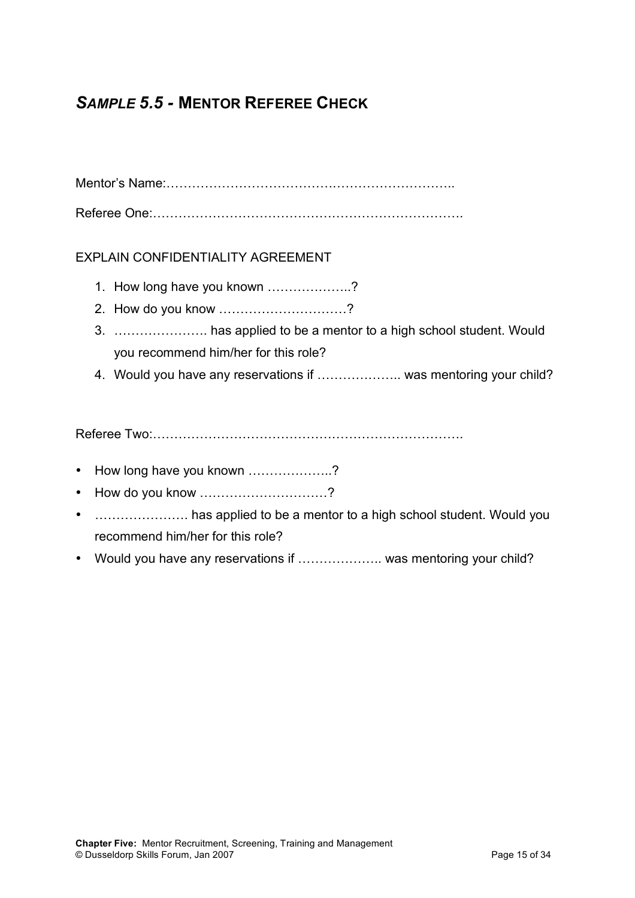# *SAMPLE 5.5 -* **MENTOR REFEREE CHECK**

Mentor's Name:…………………………………………………………..

Referee One:……………………………………………………………….

#### EXPLAIN CONFIDENTIALITY AGREEMENT

- 1. How long have you known ………………..?
- 2. How do you know …………………………?
- 3. …………………. has applied to be a mentor to a high school student. Would you recommend him/her for this role?
- 4. Would you have any reservations if ……………….. was mentoring your child?

Referee Two:……………………………………………………………….

- How long have you known ..................?
- How do you know …………………………?
- **.......................** has applied to be a mentor to a high school student. Would you recommend him/her for this role?
- Would you have any reservations if ..................... was mentoring your child?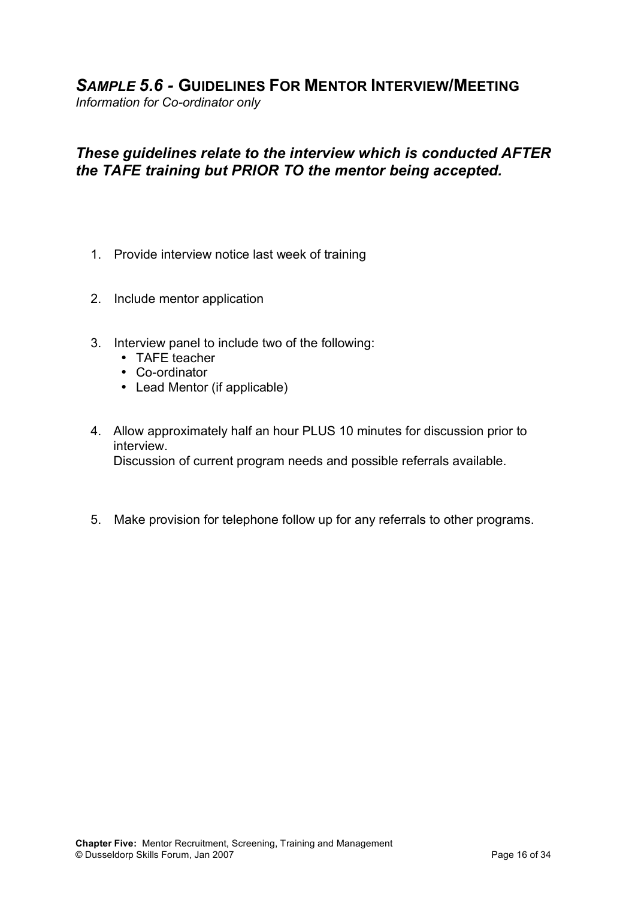## *SAMPLE 5.6 -* **GUIDELINES FOR MENTOR INTERVIEW/MEETING**

*Information for Co-ordinator only*

### *These guidelines relate to the interview which is conducted AFTER the TAFE training but PRIOR TO the mentor being accepted.*

- 1. Provide interview notice last week of training
- 2. Include mentor application
- 3. Interview panel to include two of the following:
	- TAFE teacher
	- Co-ordinator
	- Lead Mentor (if applicable)
- 4. Allow approximately half an hour PLUS 10 minutes for discussion prior to interview. Discussion of current program needs and possible referrals available.
- 5. Make provision for telephone follow up for any referrals to other programs.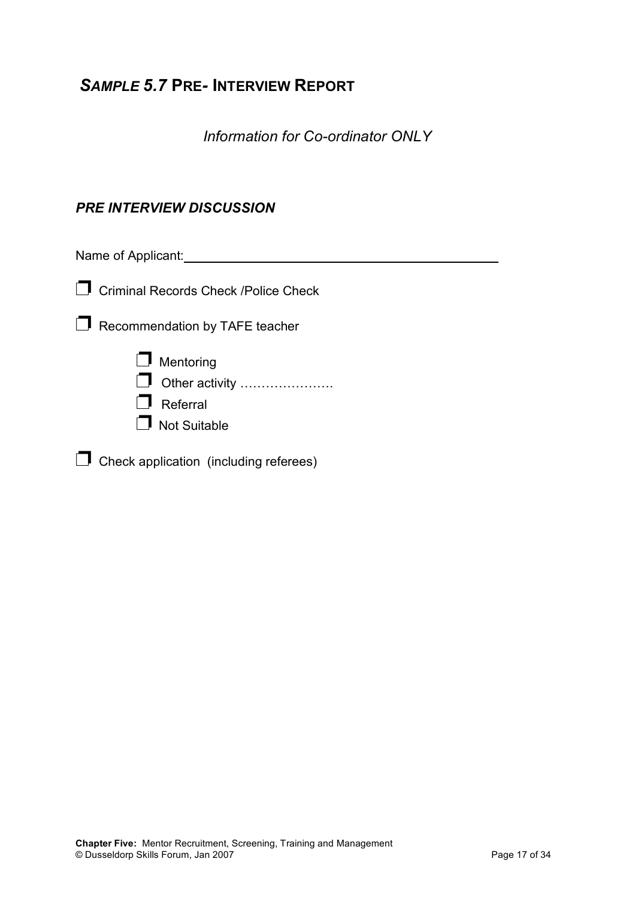## *SAMPLE 5.7* **PRE***-* **INTERVIEW REPORT**

*Information for Co-ordinator ONLY*

#### *PRE INTERVIEW DISCUSSION*

Name of Applicant: <u>contained a set of the set of the set of the set of the set of the set of the set of the set of the set of the set of the set of the set of the set of the set of the set of the set of the set of the set</u>

❐ Criminal Records Check /Police Check

□ Recommendation by TAFE teacher



❐ Check application (including referees)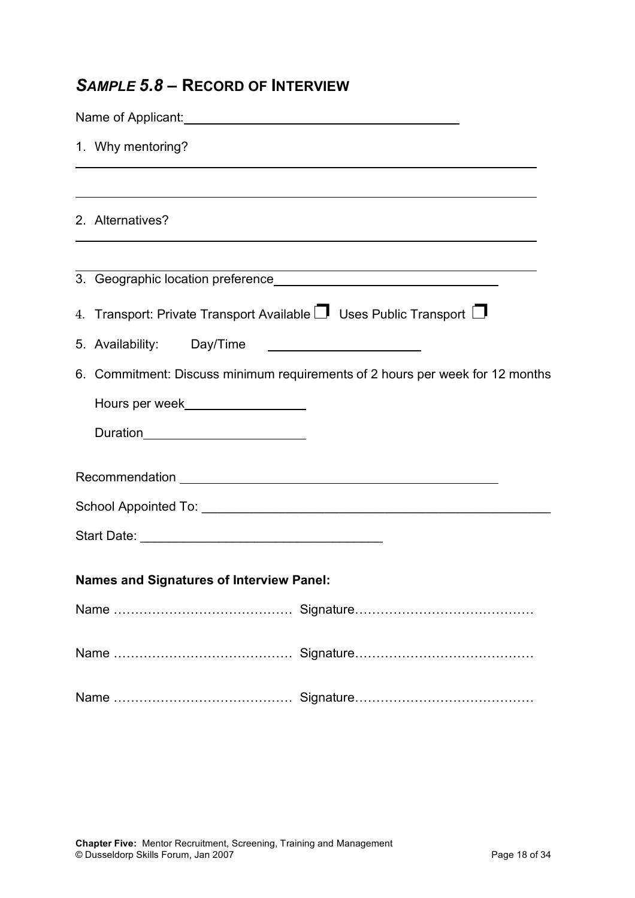# *SAMPLE 5.8 –* **RECORD OF INTERVIEW**

| 1. Why mentoring?                                                                                                                                                                                                              |  |
|--------------------------------------------------------------------------------------------------------------------------------------------------------------------------------------------------------------------------------|--|
|                                                                                                                                                                                                                                |  |
| 2. Alternatives?                                                                                                                                                                                                               |  |
|                                                                                                                                                                                                                                |  |
| 4. Transport: Private Transport Available $\Box$ Uses Public Transport $\Box$                                                                                                                                                  |  |
| 5. Availability: Day/Time                                                                                                                                                                                                      |  |
| 6. Commitment: Discuss minimum requirements of 2 hours per week for 12 months                                                                                                                                                  |  |
| Hours per week___________________                                                                                                                                                                                              |  |
| Duration___________________________                                                                                                                                                                                            |  |
|                                                                                                                                                                                                                                |  |
| School Appointed To: 2000 Contract Contract Contract Contract Contract Contract Contract Contract Contract Contract Contract Contract Contract Contract Contract Contract Contract Contract Contract Contract Contract Contrac |  |
|                                                                                                                                                                                                                                |  |
| <b>Names and Signatures of Interview Panel:</b>                                                                                                                                                                                |  |
|                                                                                                                                                                                                                                |  |
|                                                                                                                                                                                                                                |  |
|                                                                                                                                                                                                                                |  |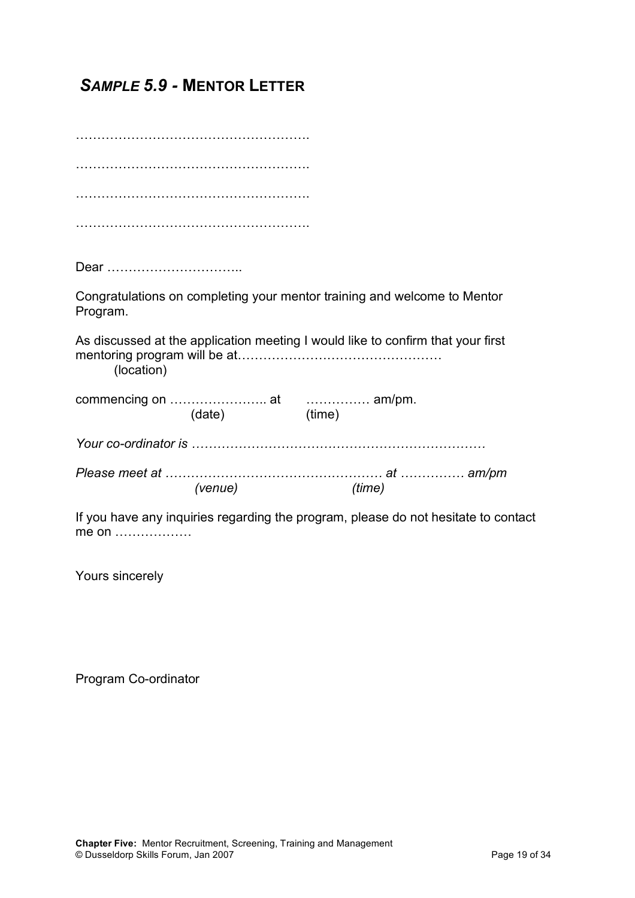*SAMPLE 5.9 -* **MENTOR LETTER**

………………………………………………. ………………………………………………. ………………………………………………. ……………………………………………….

Dear …………………………..

Congratulations on completing your mentor training and welcome to Mentor Program.

As discussed at the application meeting I would like to confirm that your first mentoring program will be at………………………………………… (location)

commencing on ………………….. at …………… am/pm. (date) (time)

*Your co-ordinator is ……………………………………………………………*

*Please meet at …………………………………………… at …………… am/pm (venue) (time)*

If you have any inquiries regarding the program, please do not hesitate to contact me on ………………

Yours sincerely

Program Co-ordinator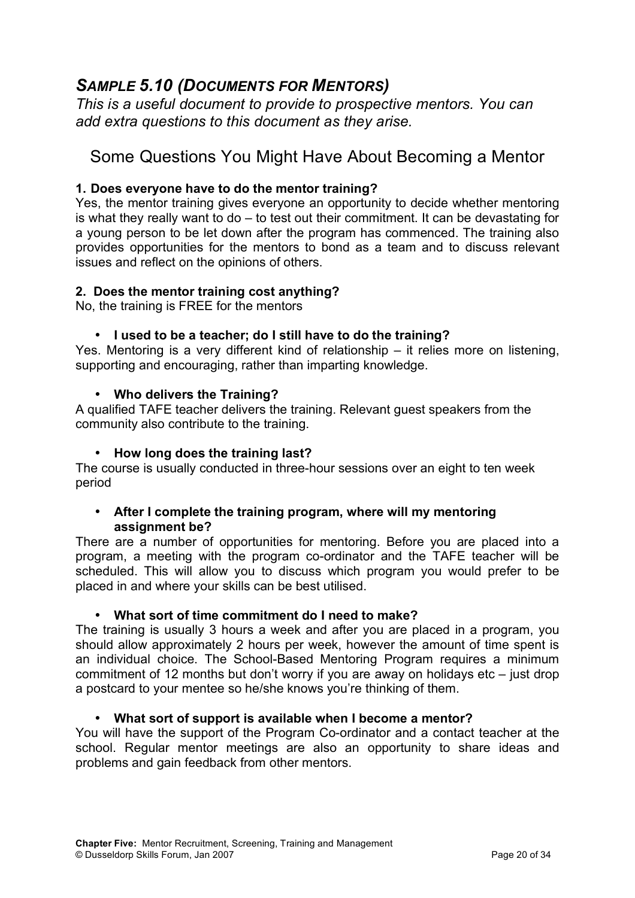## *SAMPLE 5.10 (DOCUMENTS FOR MENTORS)*

*This is a useful document to provide to prospective mentors. You can add extra questions to this document as they arise.*

# Some Questions You Might Have About Becoming a Mentor

#### **1. Does everyone have to do the mentor training?**

Yes, the mentor training gives everyone an opportunity to decide whether mentoring is what they really want to do – to test out their commitment. It can be devastating for a young person to be let down after the program has commenced. The training also provides opportunities for the mentors to bond as a team and to discuss relevant issues and reflect on the opinions of others.

#### **2. Does the mentor training cost anything?**

No, the training is FREE for the mentors

#### • **I used to be a teacher; do I still have to do the training?**

Yes. Mentoring is a very different kind of relationship – it relies more on listening, supporting and encouraging, rather than imparting knowledge.

#### • **Who delivers the Training?**

A qualified TAFE teacher delivers the training. Relevant guest speakers from the community also contribute to the training.

#### • **How long does the training last?**

The course is usually conducted in three-hour sessions over an eight to ten week period

#### • **After I complete the training program, where will my mentoring assignment be?**

There are a number of opportunities for mentoring. Before you are placed into a program, a meeting with the program co-ordinator and the TAFE teacher will be scheduled. This will allow you to discuss which program you would prefer to be placed in and where your skills can be best utilised.

#### • **What sort of time commitment do I need to make?**

The training is usually 3 hours a week and after you are placed in a program, you should allow approximately 2 hours per week, however the amount of time spent is an individual choice. The School-Based Mentoring Program requires a minimum commitment of 12 months but don't worry if you are away on holidays etc – just drop a postcard to your mentee so he/she knows you're thinking of them.

#### • **What sort of support is available when I become a mentor?**

You will have the support of the Program Co-ordinator and a contact teacher at the school. Regular mentor meetings are also an opportunity to share ideas and problems and gain feedback from other mentors.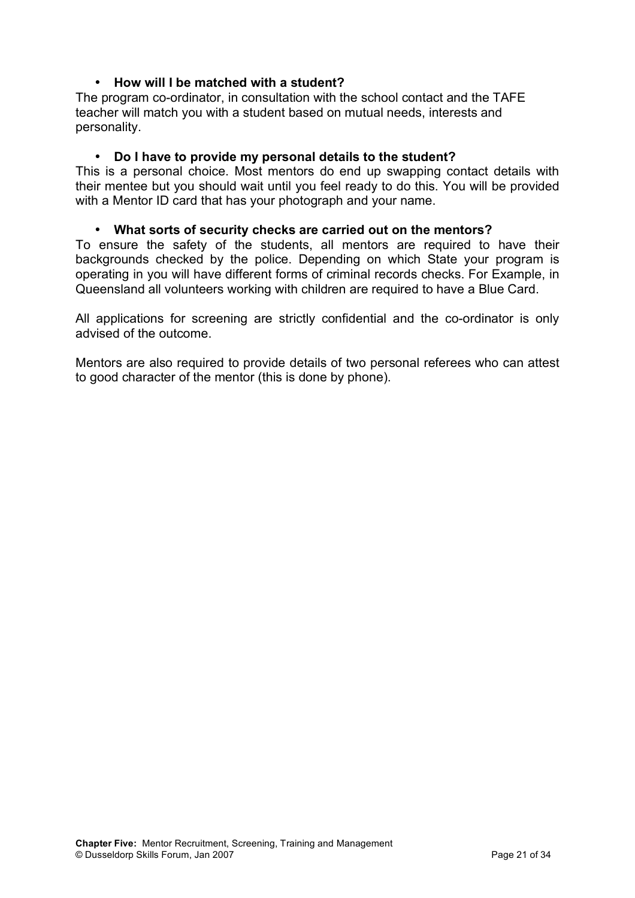#### • **How will I be matched with a student?**

The program co-ordinator, in consultation with the school contact and the TAFE teacher will match you with a student based on mutual needs, interests and personality.

#### • **Do I have to provide my personal details to the student?**

This is a personal choice. Most mentors do end up swapping contact details with their mentee but you should wait until you feel ready to do this. You will be provided with a Mentor ID card that has your photograph and your name.

#### • **What sorts of security checks are carried out on the mentors?**

To ensure the safety of the students, all mentors are required to have their backgrounds checked by the police. Depending on which State your program is operating in you will have different forms of criminal records checks. For Example, in Queensland all volunteers working with children are required to have a Blue Card.

All applications for screening are strictly confidential and the co-ordinator is only advised of the outcome.

Mentors are also required to provide details of two personal referees who can attest to good character of the mentor (this is done by phone).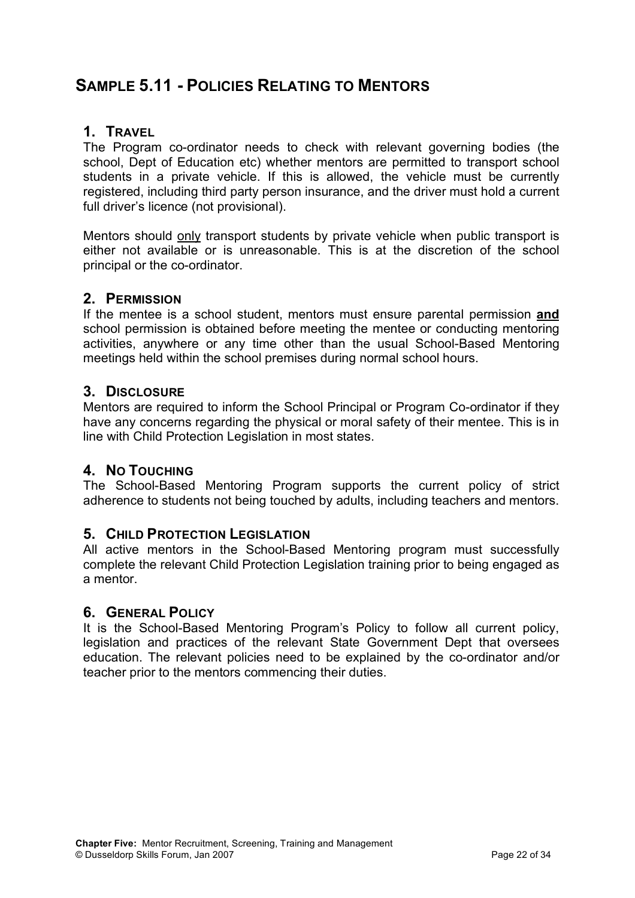## **SAMPLE 5.11 - POLICIES RELATING TO MENTORS**

#### **1. TRAVEL**

The Program co-ordinator needs to check with relevant governing bodies (the school, Dept of Education etc) whether mentors are permitted to transport school students in a private vehicle. If this is allowed, the vehicle must be currently registered, including third party person insurance, and the driver must hold a current full driver's licence (not provisional).

Mentors should only transport students by private vehicle when public transport is either not available or is unreasonable. This is at the discretion of the school principal or the co-ordinator.

#### **2. PERMISSION**

If the mentee is a school student, mentors must ensure parental permission **and** school permission is obtained before meeting the mentee or conducting mentoring activities, anywhere or any time other than the usual School-Based Mentoring meetings held within the school premises during normal school hours.

#### **3. DISCLOSURE**

Mentors are required to inform the School Principal or Program Co-ordinator if they have any concerns regarding the physical or moral safety of their mentee. This is in line with Child Protection Legislation in most states.

#### **4. NO TOUCHING**

The School-Based Mentoring Program supports the current policy of strict adherence to students not being touched by adults, including teachers and mentors.

#### **5. CHILD PROTECTION LEGISLATION**

All active mentors in the School-Based Mentoring program must successfully complete the relevant Child Protection Legislation training prior to being engaged as a mentor.

#### **6. GENERAL POLICY**

It is the School-Based Mentoring Program's Policy to follow all current policy, legislation and practices of the relevant State Government Dept that oversees education. The relevant policies need to be explained by the co-ordinator and/or teacher prior to the mentors commencing their duties.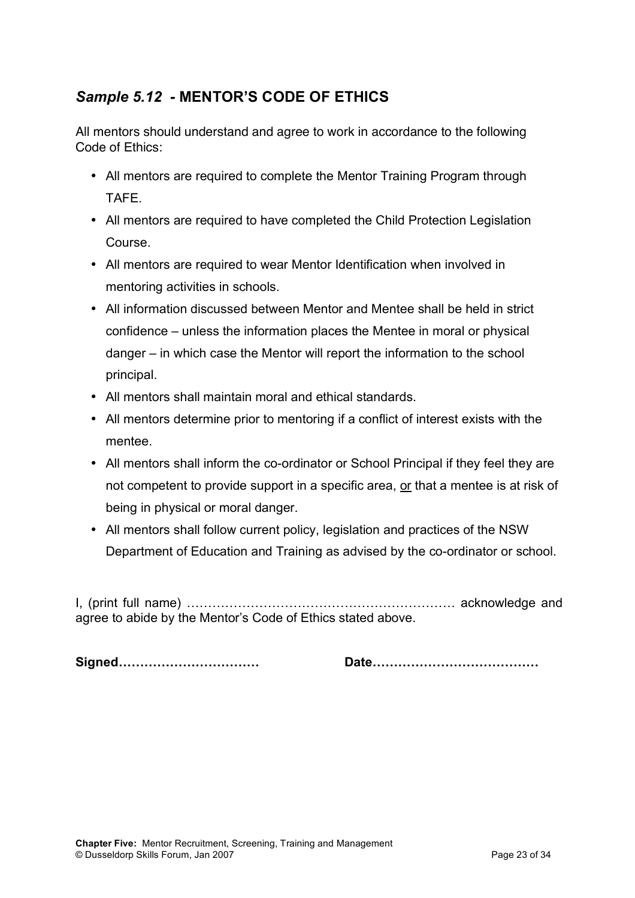## *Sample 5.12 -* **MENTOR'S CODE OF ETHICS**

All mentors should understand and agree to work in accordance to the following Code of Ethics:

- All mentors are required to complete the Mentor Training Program through TAFE.
- All mentors are required to have completed the Child Protection Legislation Course.
- All mentors are required to wear Mentor Identification when involved in mentoring activities in schools.
- All information discussed between Mentor and Mentee shall be held in strict confidence – unless the information places the Mentee in moral or physical danger – in which case the Mentor will report the information to the school principal.
- All mentors shall maintain moral and ethical standards.
- All mentors determine prior to mentoring if a conflict of interest exists with the mentee.
- All mentors shall inform the co-ordinator or School Principal if they feel they are not competent to provide support in a specific area, or that a mentee is at risk of being in physical or moral danger.
- All mentors shall follow current policy, legislation and practices of the NSW Department of Education and Training as advised by the co-ordinator or school.

I, (print full name) ……………………………………………………… acknowledge and agree to abide by the Mentor's Code of Ethics stated above.

**Signed…………………………… Date…………………………………**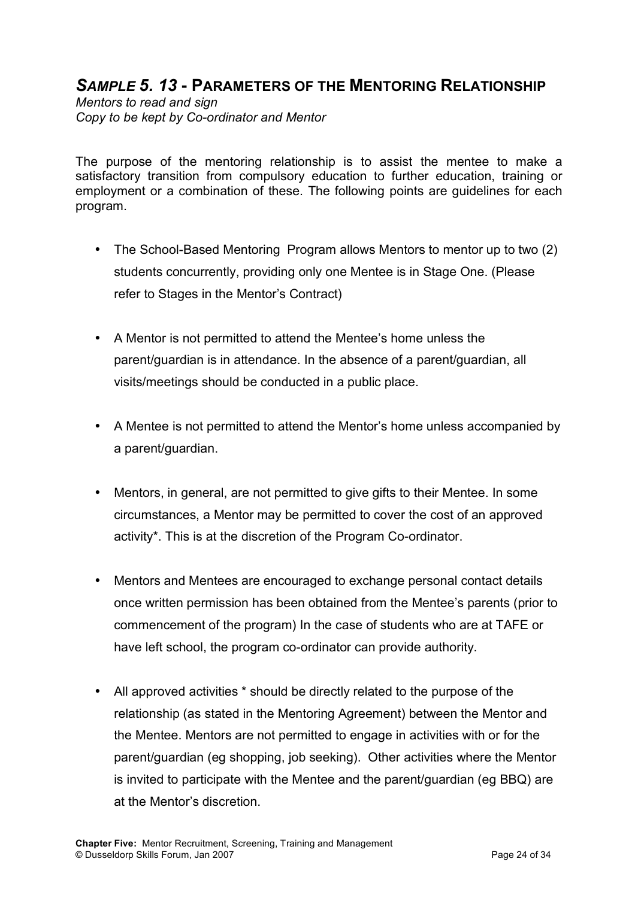## *SAMPLE 5. 13* **- PARAMETERS OF THE MENTORING RELATIONSHIP**

*Mentors to read and sign Copy to be kept by Co-ordinator and Mentor*

The purpose of the mentoring relationship is to assist the mentee to make a satisfactory transition from compulsory education to further education, training or employment or a combination of these. The following points are guidelines for each program.

- The School-Based Mentoring Program allows Mentors to mentor up to two (2) students concurrently, providing only one Mentee is in Stage One. (Please refer to Stages in the Mentor's Contract)
- A Mentor is not permitted to attend the Mentee's home unless the parent/guardian is in attendance. In the absence of a parent/guardian, all visits/meetings should be conducted in a public place.
- A Mentee is not permitted to attend the Mentor's home unless accompanied by a parent/guardian.
- Mentors, in general, are not permitted to give gifts to their Mentee. In some circumstances, a Mentor may be permitted to cover the cost of an approved activity\*. This is at the discretion of the Program Co-ordinator.
- Mentors and Mentees are encouraged to exchange personal contact details once written permission has been obtained from the Mentee's parents (prior to commencement of the program) In the case of students who are at TAFE or have left school, the program co-ordinator can provide authority.
- All approved activities \* should be directly related to the purpose of the relationship (as stated in the Mentoring Agreement) between the Mentor and the Mentee. Mentors are not permitted to engage in activities with or for the parent/guardian (eg shopping, job seeking). Other activities where the Mentor is invited to participate with the Mentee and the parent/guardian (eg BBQ) are at the Mentor's discretion.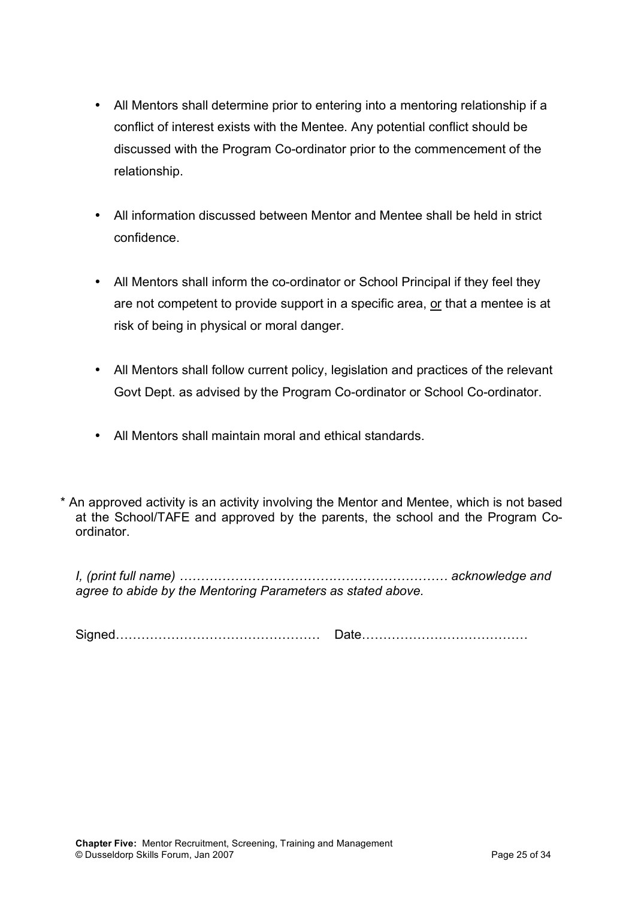- All Mentors shall determine prior to entering into a mentoring relationship if a conflict of interest exists with the Mentee. Any potential conflict should be discussed with the Program Co-ordinator prior to the commencement of the relationship.
- All information discussed between Mentor and Mentee shall be held in strict confidence.
- All Mentors shall inform the co-ordinator or School Principal if they feel they are not competent to provide support in a specific area, or that a mentee is at risk of being in physical or moral danger.
- All Mentors shall follow current policy, legislation and practices of the relevant Govt Dept. as advised by the Program Co-ordinator or School Co-ordinator.
- All Mentors shall maintain moral and ethical standards.

\* An approved activity is an activity involving the Mentor and Mentee, which is not based at the School/TAFE and approved by the parents, the school and the Program Coordinator.

*I, (print full name) ……………………………………………………… acknowledge and agree to abide by the Mentoring Parameters as stated above.*

Signed………………………………………… Date…………………………………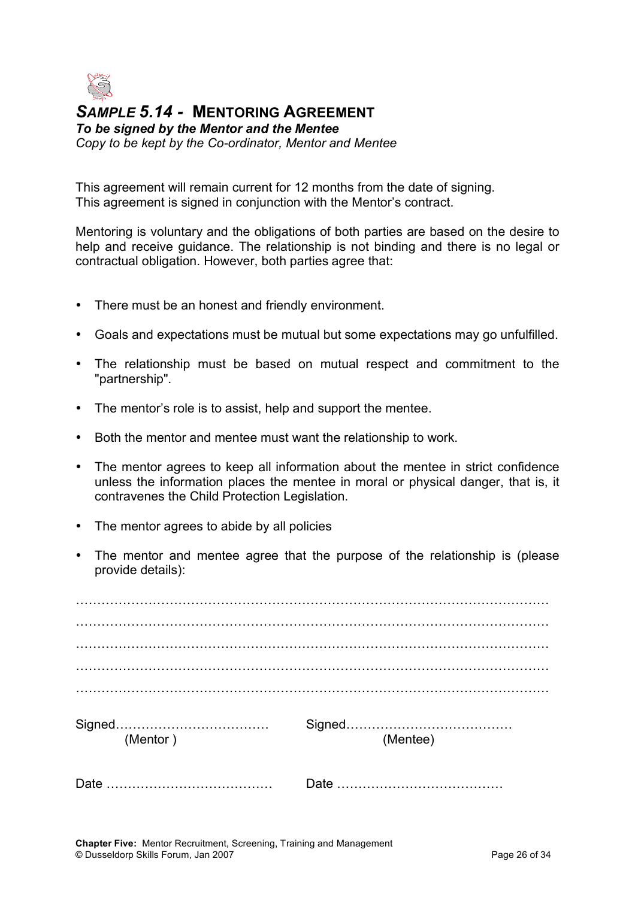

*SAMPLE 5.14 -* **MENTORING AGREEMENT** *To be signed by the Mentor and the Mentee Copy to be kept by the Co-ordinator, Mentor and Mentee*

This agreement will remain current for 12 months from the date of signing. This agreement is signed in conjunction with the Mentor's contract.

Mentoring is voluntary and the obligations of both parties are based on the desire to help and receive guidance. The relationship is not binding and there is no legal or contractual obligation. However, both parties agree that:

- There must be an honest and friendly environment.
- Goals and expectations must be mutual but some expectations may go unfulfilled.
- The relationship must be based on mutual respect and commitment to the "partnership".
- The mentor's role is to assist, help and support the mentee.
- Both the mentor and mentee must want the relationship to work.
- The mentor agrees to keep all information about the mentee in strict confidence unless the information places the mentee in moral or physical danger, that is, it contravenes the Child Protection Legislation.
- The mentor agrees to abide by all policies
- The mentor and mentee agree that the purpose of the relationship is (please provide details):

| (Mentor) | (Mentee) |
|----------|----------|
|          |          |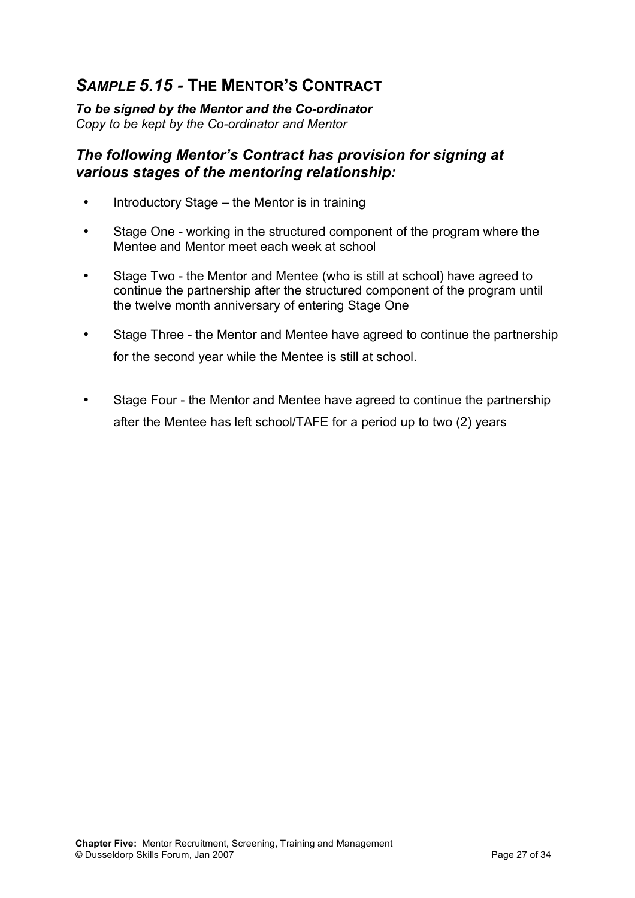# *SAMPLE 5.15 -* **THE MENTOR'S CONTRACT**

*To be signed by the Mentor and the Co-ordinator Copy to be kept by the Co-ordinator and Mentor*

#### *The following Mentor's Contract has provision for signing at various stages of the mentoring relationship:*

- Introductory Stage the Mentor is in training
- Stage One working in the structured component of the program where the Mentee and Mentor meet each week at school
- Stage Two the Mentor and Mentee (who is still at school) have agreed to continue the partnership after the structured component of the program until the twelve month anniversary of entering Stage One
- Stage Three the Mentor and Mentee have agreed to continue the partnership for the second year while the Mentee is still at school.
- Stage Four the Mentor and Mentee have agreed to continue the partnership after the Mentee has left school/TAFE for a period up to two (2) years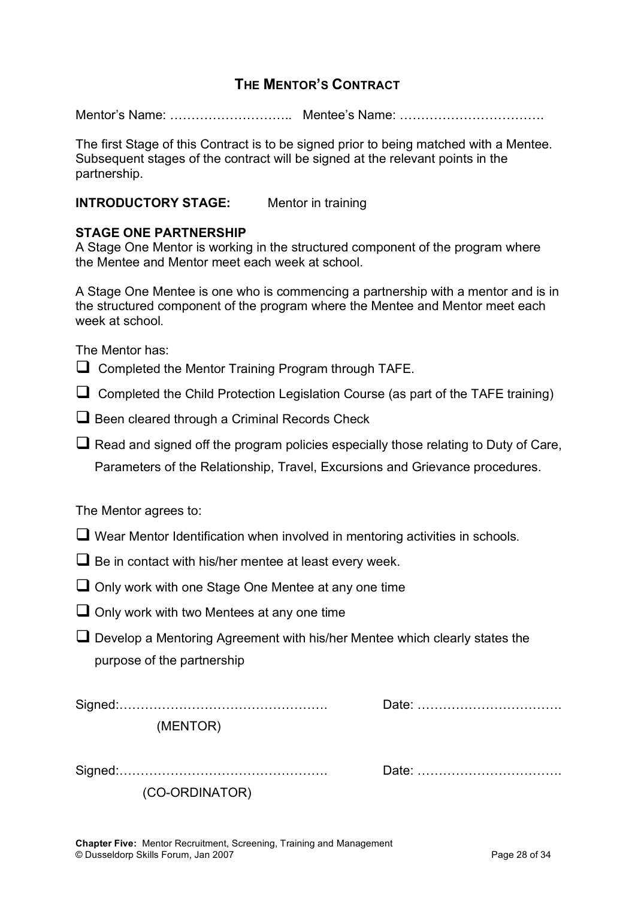#### **THE MENTOR'S CONTRACT**

Mentor's Name: ……………………….. Mentee's Name: …………………………….

The first Stage of this Contract is to be signed prior to being matched with a Mentee. Subsequent stages of the contract will be signed at the relevant points in the partnership.

#### **INTRODUCTORY STAGE:** Mentor in training

#### **STAGE ONE PARTNERSHIP**

A Stage One Mentor is working in the structured component of the program where the Mentee and Mentor meet each week at school.

A Stage One Mentee is one who is commencing a partnership with a mentor and is in the structured component of the program where the Mentee and Mentor meet each week at school

The Mentor has:

- $\Box$  Completed the Mentor Training Program through TAFE.
- $\Box$  Completed the Child Protection Legislation Course (as part of the TAFE training)
- $\Box$  Been cleared through a Criminal Records Check

 $\Box$  Read and signed off the program policies especially those relating to Duty of Care, Parameters of the Relationship, Travel, Excursions and Grievance procedures.

The Mentor agrees to:

- $\Box$  Wear Mentor Identification when involved in mentoring activities in schools.
- $\Box$  Be in contact with his/her mentee at least every week.
- $\Box$  Only work with one Stage One Mentee at any one time
- $\Box$  Only work with two Mentees at any one time
- Develop a Mentoring Agreement with his/her Mentee which clearly states the purpose of the partnership

Signed:…………………………………………. Date: …………………………….

(MENTOR)

Signed:…………………………………………. Date: …………………………….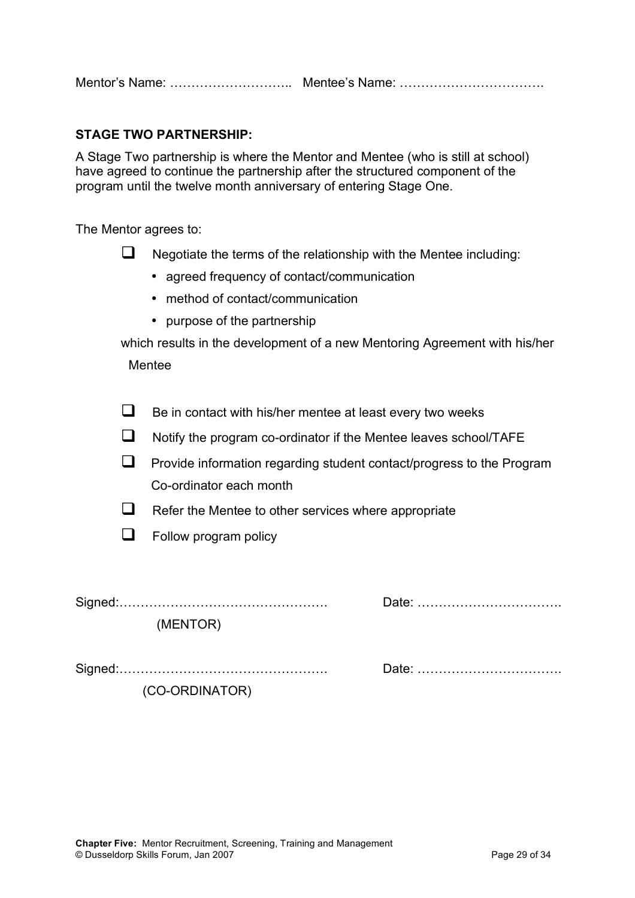#### **STAGE TWO PARTNERSHIP:**

A Stage Two partnership is where the Mentor and Mentee (who is still at school) have agreed to continue the partnership after the structured component of the program until the twelve month anniversary of entering Stage One.

The Mentor agrees to:

| $\Box$ |  | Negotiate the terms of the relationship with the Mentee including: |  |  |
|--------|--|--------------------------------------------------------------------|--|--|
|--------|--|--------------------------------------------------------------------|--|--|

- agreed frequency of contact/communication
- method of contact/communication
- purpose of the partnership

which results in the development of a new Mentoring Agreement with his/her

Mentee

 $\Box$  Be in contact with his/her mentee at least every two weeks

 $\Box$  Notify the program co-ordinator if the Mentee leaves school/TAFE

 $\Box$  Provide information regarding student contact/progress to the Program Co-ordinator each month

- $\Box$  Refer the Mentee to other services where appropriate
- $\Box$  Follow program policy

Signed:…………………………………………. Date: …………………………….

(MENTOR)

|--|--|--|--|--|

Signed:…………………………………………. Date: …………………………….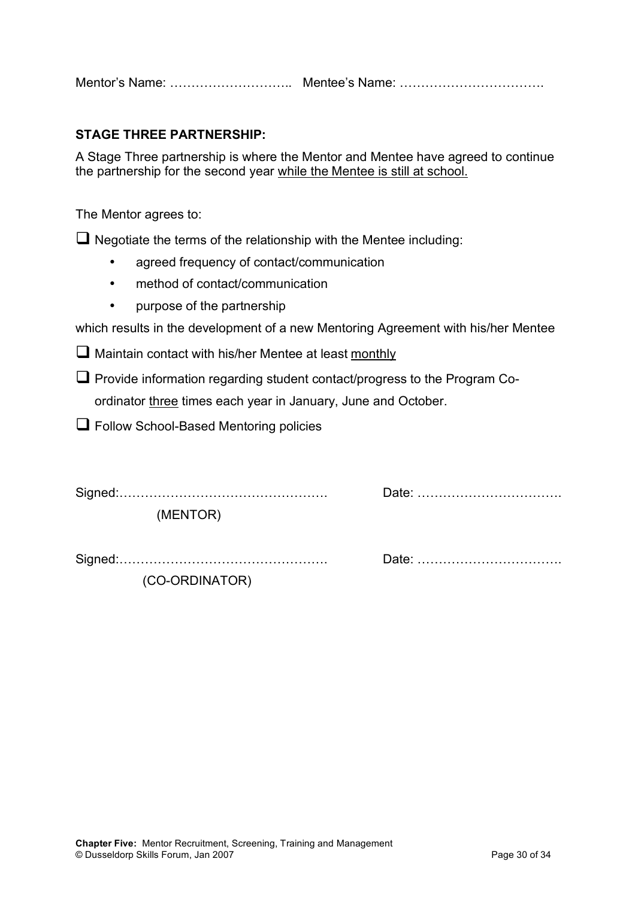Mentor's Name: ……………………….. Mentee's Name: …………………………….

#### **STAGE THREE PARTNERSHIP:**

A Stage Three partnership is where the Mentor and Mentee have agreed to continue the partnership for the second year while the Mentee is still at school.

The Mentor agrees to:

 $\Box$  Negotiate the terms of the relationship with the Mentee including:

- agreed frequency of contact/communication
- method of contact/communication
- purpose of the partnership

which results in the development of a new Mentoring Agreement with his/her Mentee

 $\Box$  Maintain contact with his/her Mentee at least monthly

 $\Box$  Provide information regarding student contact/progress to the Program Coordinator three times each year in January, June and October.

 $\Box$  Follow School-Based Mentoring policies

Signed:…………………………………………. Date: …………………………….

(MENTOR)

Signed:…………………………………………. Date: …………………………….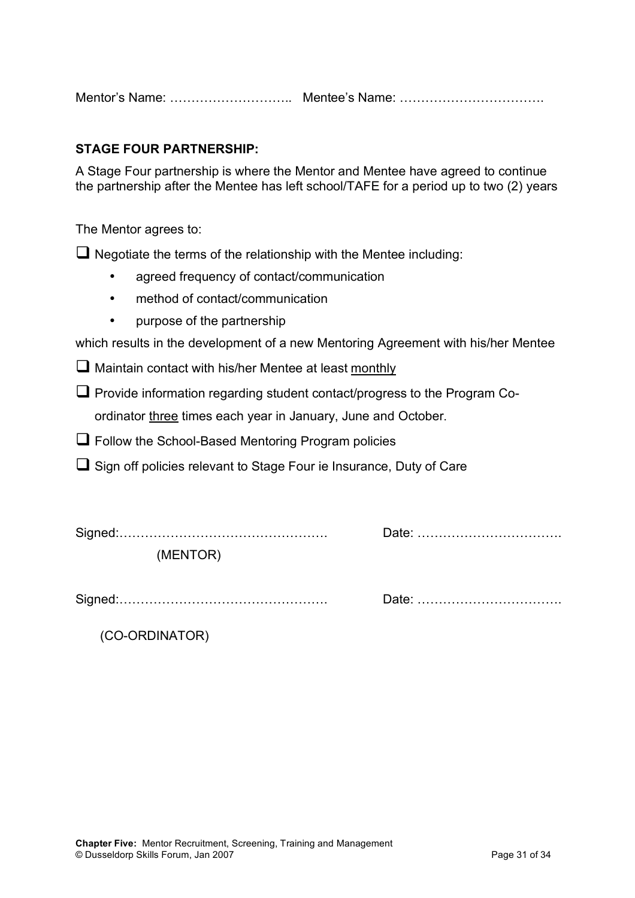Mentor's Name: ……………………….. Mentee's Name: …………………………….

#### **STAGE FOUR PARTNERSHIP:**

A Stage Four partnership is where the Mentor and Mentee have agreed to continue the partnership after the Mentee has left school/TAFE for a period up to two (2) years

The Mentor agrees to:

 $\Box$  Negotiate the terms of the relationship with the Mentee including:

- agreed frequency of contact/communication
- method of contact/communication
- purpose of the partnership

which results in the development of a new Mentoring Agreement with his/her Mentee

 $\Box$  Maintain contact with his/her Mentee at least monthly

 $\Box$  Provide information regarding student contact/progress to the Program Coordinator three times each year in January, June and October.

 $\Box$  Follow the School-Based Mentoring Program policies

 $\Box$  Sign off policies relevant to Stage Four ie Insurance, Duty of Care

| (MENTOR) |  |
|----------|--|

Signed:…………………………………………. Date: …………………………….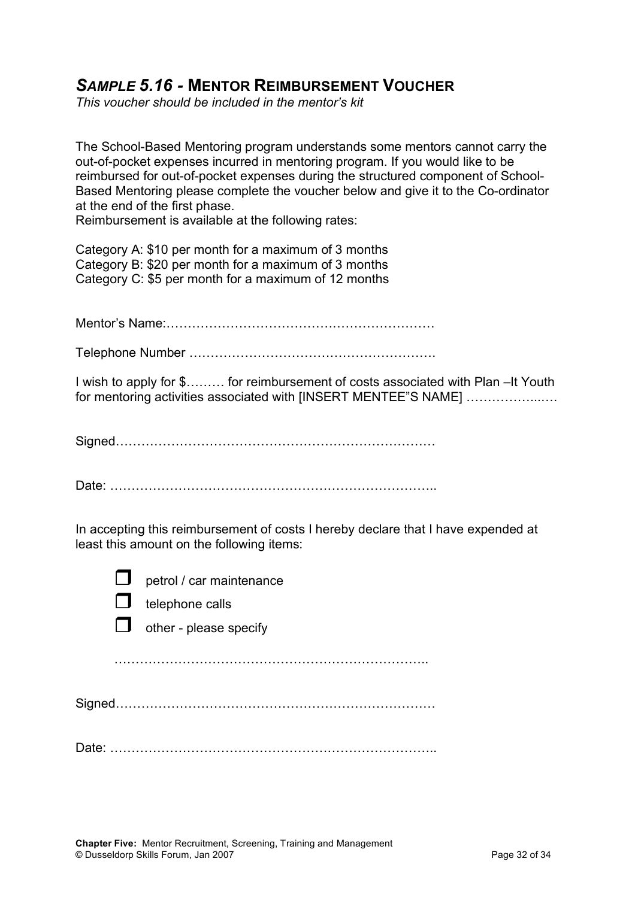## *SAMPLE 5.16 -* **MENTOR REIMBURSEMENT VOUCHER**

*This voucher should be included in the mentor's kit*

The School-Based Mentoring program understands some mentors cannot carry the out-of-pocket expenses incurred in mentoring program. If you would like to be reimbursed for out-of-pocket expenses during the structured component of School-Based Mentoring please complete the voucher below and give it to the Co-ordinator at the end of the first phase.

Reimbursement is available at the following rates:

Category A: \$10 per month for a maximum of 3 months Category B: \$20 per month for a maximum of 3 months Category C: \$5 per month for a maximum of 12 months

Mentor's Name:………………………………………………………

Telephone Number ………………………………………………….

I wish to apply for \$……… for reimbursement of costs associated with Plan –It Youth for mentoring activities associated with [INSERT MENTEE"S NAME] .......................

Signed…………………………………………………………………

Date: …………………………………………………………………..

In accepting this reimbursement of costs I hereby declare that I have expended at least this amount on the following items:

petrol / car maintenance

telephone calls



other - please specify

………………………………………………………………..

Signed…………………………………………………………………

Date: …………………………………………………………………..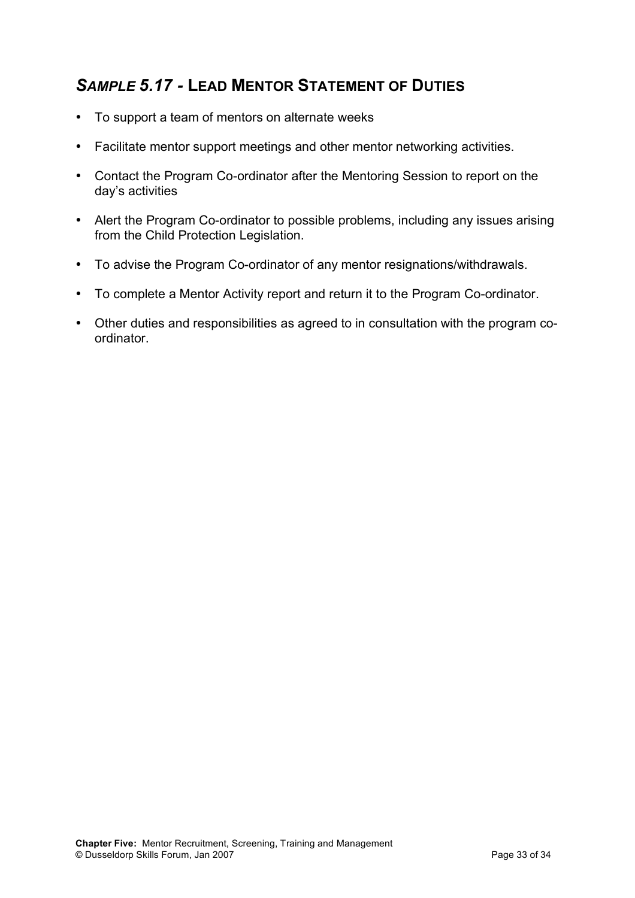# *SAMPLE 5.17 -* **LEAD MENTOR STATEMENT OF DUTIES**

- To support a team of mentors on alternate weeks
- Facilitate mentor support meetings and other mentor networking activities.
- Contact the Program Co-ordinator after the Mentoring Session to report on the day's activities
- Alert the Program Co-ordinator to possible problems, including any issues arising from the Child Protection Legislation.
- To advise the Program Co-ordinator of any mentor resignations/withdrawals.
- To complete a Mentor Activity report and return it to the Program Co-ordinator.
- Other duties and responsibilities as agreed to in consultation with the program coordinator.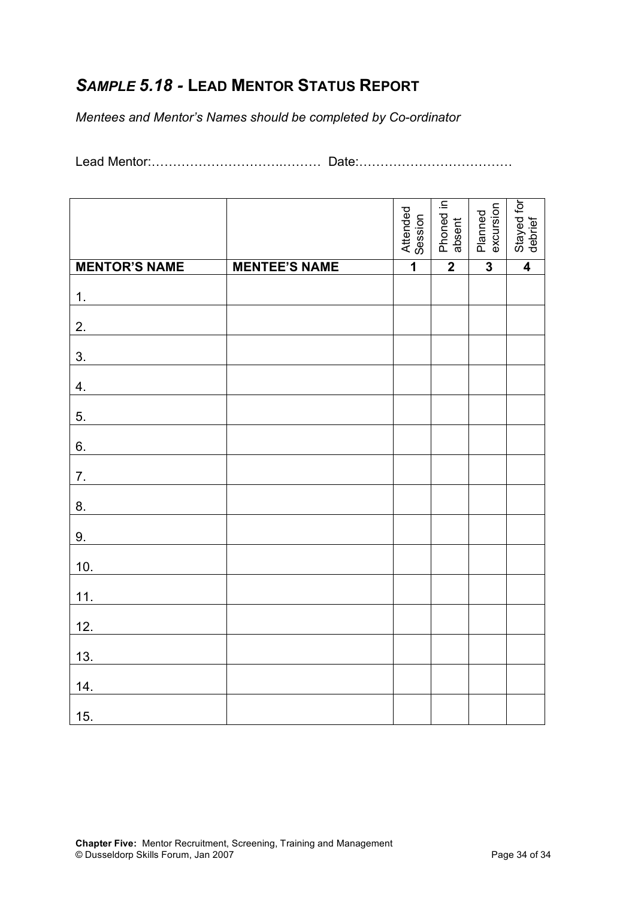# *SAMPLE 5.18 -* **LEAD MENTOR STATUS REPORT**

*Mentees and Mentor's Names should be completed by Co-ordinator*

Lead Mentor:………………………….……… Date:………………………………

|                      |                      | Attended<br>Session | Phoned in<br>absent | excursion<br>Planned    | Stayed for<br>debrief   |
|----------------------|----------------------|---------------------|---------------------|-------------------------|-------------------------|
| <b>MENTOR'S NAME</b> | <b>MENTEE'S NAME</b> | $\overline{1}$      | $\overline{2}$      | $\overline{\mathbf{3}}$ | $\overline{\mathbf{4}}$ |
| 1.                   |                      |                     |                     |                         |                         |
| 2.                   |                      |                     |                     |                         |                         |
| 3.                   |                      |                     |                     |                         |                         |
| 4.                   |                      |                     |                     |                         |                         |
| 5.                   |                      |                     |                     |                         |                         |
| 6.                   |                      |                     |                     |                         |                         |
| 7.                   |                      |                     |                     |                         |                         |
| 8.                   |                      |                     |                     |                         |                         |
| 9.                   |                      |                     |                     |                         |                         |
| 10.                  |                      |                     |                     |                         |                         |
| 11.                  |                      |                     |                     |                         |                         |
| 12.                  |                      |                     |                     |                         |                         |
| 13.                  |                      |                     |                     |                         |                         |
| 14.                  |                      |                     |                     |                         |                         |
| 15.                  |                      |                     |                     |                         |                         |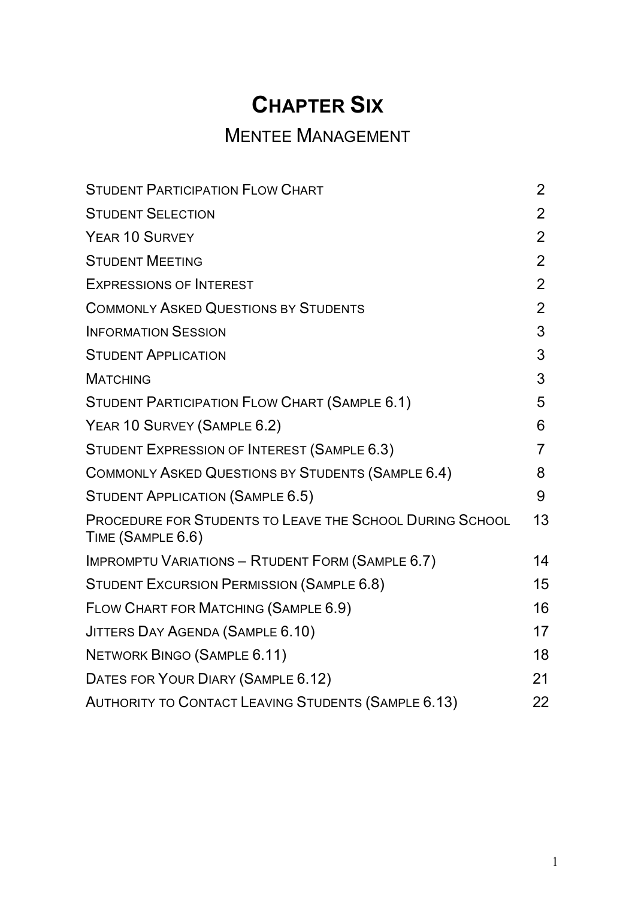# **CHAPTER SIX**

# MENTEE MANAGEMENT

| <b>STUDENT PARTICIPATION FLOW CHART</b>                                       | $\overline{2}$ |
|-------------------------------------------------------------------------------|----------------|
| <b>STUDENT SELECTION</b>                                                      | $\overline{2}$ |
| YEAR 10 SURVEY                                                                | $\overline{2}$ |
| <b>STUDENT MEETING</b>                                                        | $\overline{2}$ |
| <b>EXPRESSIONS OF INTEREST</b>                                                | $\overline{2}$ |
| <b>COMMONLY ASKED QUESTIONS BY STUDENTS</b>                                   | $\overline{2}$ |
| <b>INFORMATION SESSION</b>                                                    | 3              |
| <b>STUDENT APPLICATION</b>                                                    | 3              |
| <b>MATCHING</b>                                                               | 3              |
| STUDENT PARTICIPATION FLOW CHART (SAMPLE 6.1)                                 | 5              |
| YEAR 10 SURVEY (SAMPLE 6.2)                                                   | 6              |
| STUDENT EXPRESSION OF INTEREST (SAMPLE 6.3)                                   | $\overline{7}$ |
| COMMONLY ASKED QUESTIONS BY STUDENTS (SAMPLE 6.4)                             | 8              |
| STUDENT APPLICATION (SAMPLE 6.5)                                              | 9              |
| PROCEDURE FOR STUDENTS TO LEAVE THE SCHOOL DURING SCHOOL<br>TIME (SAMPLE 6.6) | 13             |
| IMPROMPTU VARIATIONS - RTUDENT FORM (SAMPLE 6.7)                              | 14             |
| STUDENT EXCURSION PERMISSION (SAMPLE 6.8)                                     | 15             |
| FLOW CHART FOR MATCHING (SAMPLE 6.9)                                          | 16             |
| JITTERS DAY AGENDA (SAMPLE 6.10)                                              | 17             |
| NETWORK BINGO (SAMPLE 6.11)                                                   | 18             |
| DATES FOR YOUR DIARY (SAMPLE 6.12)                                            | 21             |
| AUTHORITY TO CONTACT LEAVING STUDENTS (SAMPLE 6.13)                           | 22             |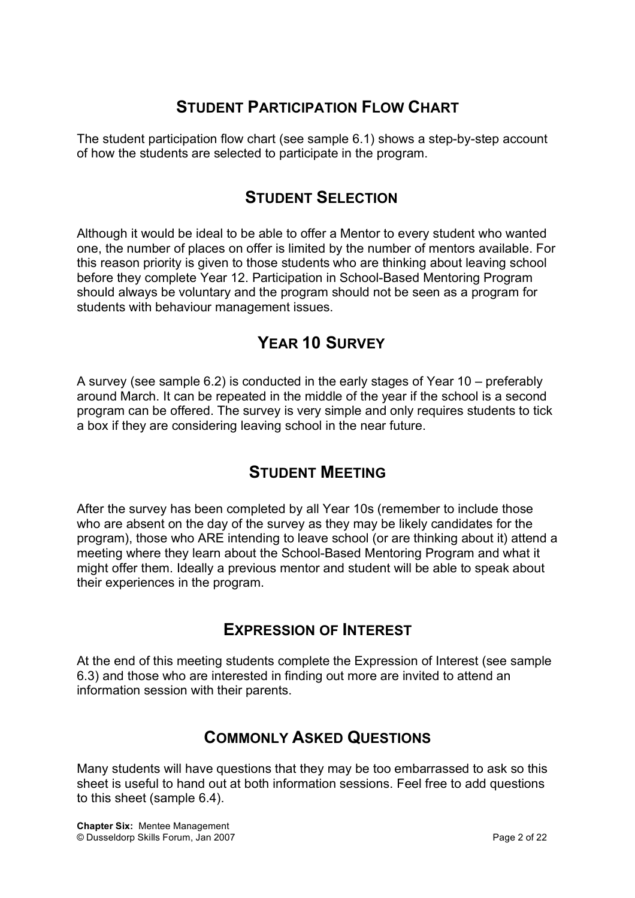# **STUDENT PARTICIPATION FLOW CHART**

The student participation flow chart (see sample 6.1) shows a step-by-step account of how the students are selected to participate in the program.

## **STUDENT SELECTION**

Although it would be ideal to be able to offer a Mentor to every student who wanted one, the number of places on offer is limited by the number of mentors available. For this reason priority is given to those students who are thinking about leaving school before they complete Year 12. Participation in School-Based Mentoring Program should always be voluntary and the program should not be seen as a program for students with behaviour management issues.

# **YEAR 10 SURVEY**

A survey (see sample 6.2) is conducted in the early stages of Year 10 – preferably around March. It can be repeated in the middle of the year if the school is a second program can be offered. The survey is very simple and only requires students to tick a box if they are considering leaving school in the near future.

## **STUDENT MEETING**

After the survey has been completed by all Year 10s (remember to include those who are absent on the day of the survey as they may be likely candidates for the program), those who ARE intending to leave school (or are thinking about it) attend a meeting where they learn about the School-Based Mentoring Program and what it might offer them. Ideally a previous mentor and student will be able to speak about their experiences in the program.

## **EXPRESSION OF INTEREST**

At the end of this meeting students complete the Expression of Interest (see sample 6.3) and those who are interested in finding out more are invited to attend an information session with their parents.

## **COMMONLY ASKED QUESTIONS**

Many students will have questions that they may be too embarrassed to ask so this sheet is useful to hand out at both information sessions. Feel free to add questions to this sheet (sample 6.4).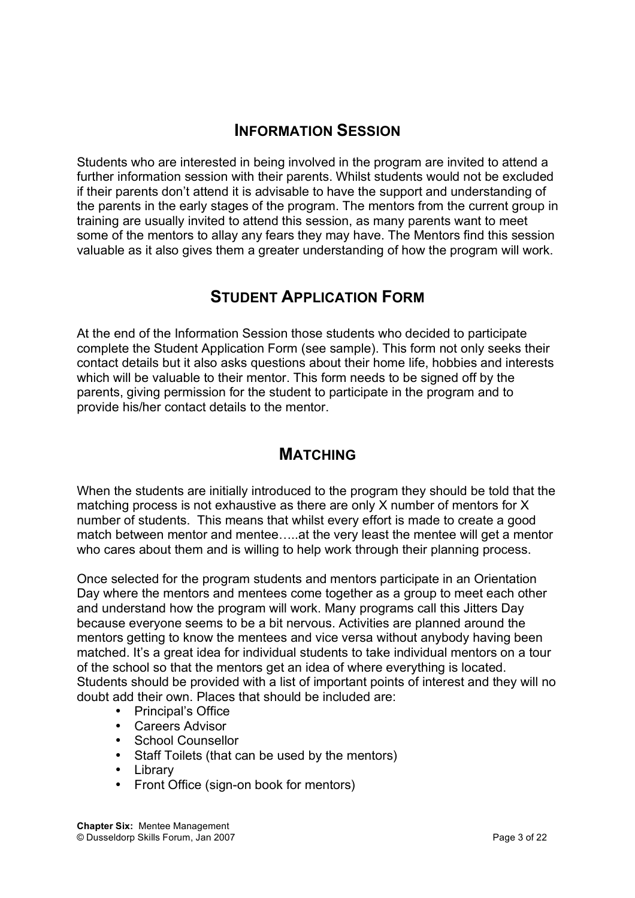## **INFORMATION SESSION**

Students who are interested in being involved in the program are invited to attend a further information session with their parents. Whilst students would not be excluded if their parents don't attend it is advisable to have the support and understanding of the parents in the early stages of the program. The mentors from the current group in training are usually invited to attend this session, as many parents want to meet some of the mentors to allay any fears they may have. The Mentors find this session valuable as it also gives them a greater understanding of how the program will work.

## **STUDENT APPLICATION FORM**

At the end of the Information Session those students who decided to participate complete the Student Application Form (see sample). This form not only seeks their contact details but it also asks questions about their home life, hobbies and interests which will be valuable to their mentor. This form needs to be signed off by the parents, giving permission for the student to participate in the program and to provide his/her contact details to the mentor.

## **MATCHING**

When the students are initially introduced to the program they should be told that the matching process is not exhaustive as there are only X number of mentors for X number of students. This means that whilst every effort is made to create a good match between mentor and mentee…..at the very least the mentee will get a mentor who cares about them and is willing to help work through their planning process.

Once selected for the program students and mentors participate in an Orientation Day where the mentors and mentees come together as a group to meet each other and understand how the program will work. Many programs call this Jitters Day because everyone seems to be a bit nervous. Activities are planned around the mentors getting to know the mentees and vice versa without anybody having been matched. It's a great idea for individual students to take individual mentors on a tour of the school so that the mentors get an idea of where everything is located. Students should be provided with a list of important points of interest and they will no doubt add their own. Places that should be included are:

- Principal's Office
- Careers Advisor
- School Counsellor
- Staff Toilets (that can be used by the mentors)
- Library
- Front Office (sign-on book for mentors)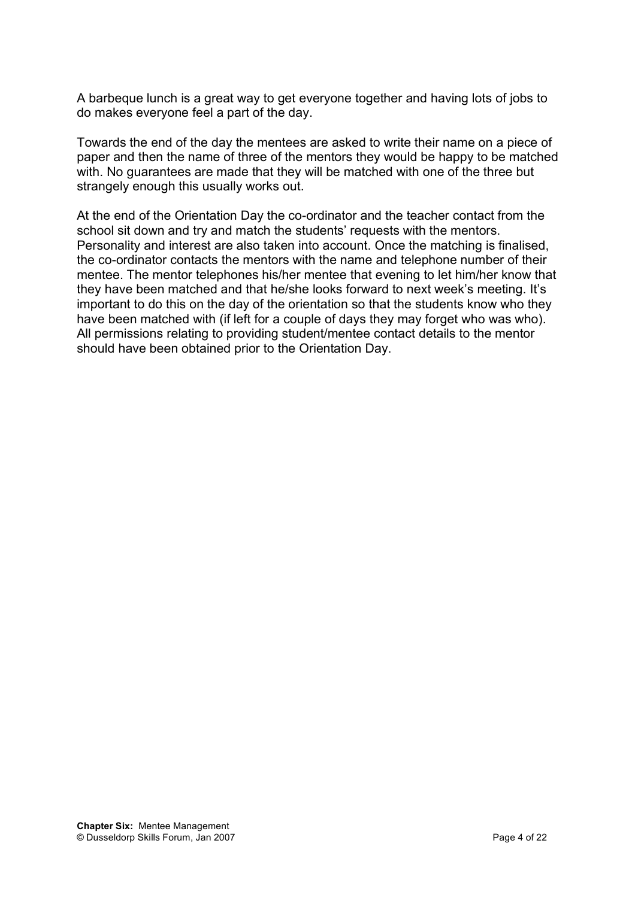A barbeque lunch is a great way to get everyone together and having lots of jobs to do makes everyone feel a part of the day.

Towards the end of the day the mentees are asked to write their name on a piece of paper and then the name of three of the mentors they would be happy to be matched with. No guarantees are made that they will be matched with one of the three but strangely enough this usually works out.

At the end of the Orientation Day the co-ordinator and the teacher contact from the school sit down and try and match the students' requests with the mentors. Personality and interest are also taken into account. Once the matching is finalised, the co-ordinator contacts the mentors with the name and telephone number of their mentee. The mentor telephones his/her mentee that evening to let him/her know that they have been matched and that he/she looks forward to next week's meeting. It's important to do this on the day of the orientation so that the students know who they have been matched with (if left for a couple of days they may forget who was who). All permissions relating to providing student/mentee contact details to the mentor should have been obtained prior to the Orientation Day.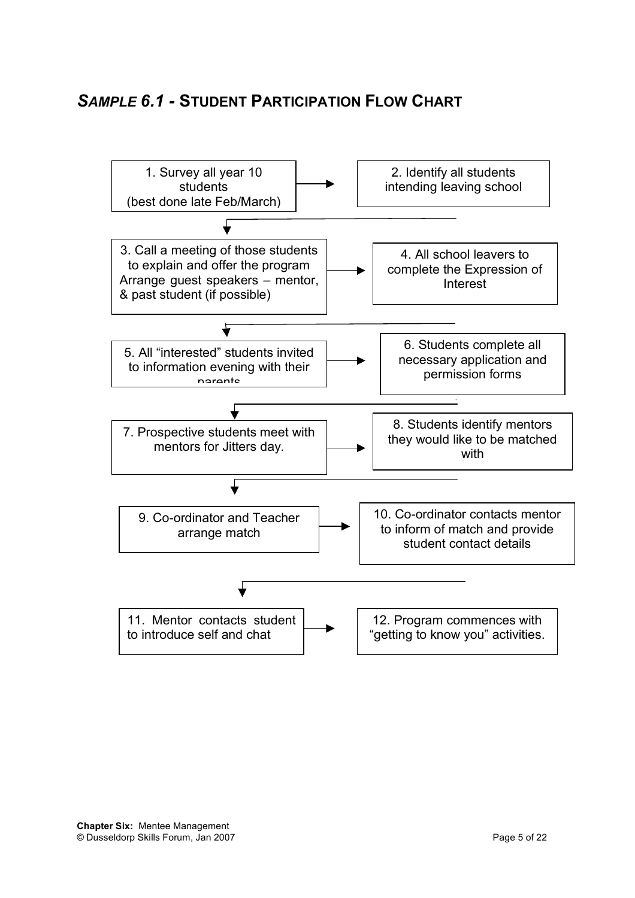## *SAMPLE 6.1 -* **STUDENT PARTICIPATION FLOW CHART**

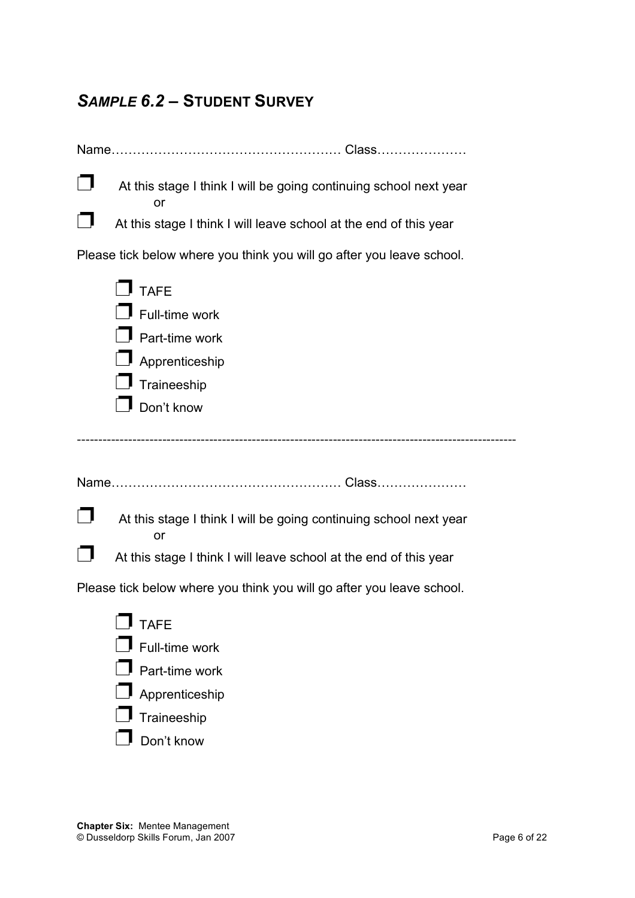# *SAMPLE 6.2 –* **STUDENT SURVEY**

| At this stage I think I will be going continuing school next year<br>or |
|-------------------------------------------------------------------------|
| At this stage I think I will leave school at the end of this year       |
| Please tick below where you think you will go after you leave school.   |
| $\Box$ TAFE                                                             |
| $\mathsf I$ Full-time work                                              |
| $\blacksquare$ Part-time work                                           |
| Apprenticeship                                                          |
| Traineeship                                                             |
| Don't know                                                              |
|                                                                         |
|                                                                         |
| At this stage I think I will be going continuing school next year<br>or |
| At this stage I think I will leave school at the end of this year       |
| Please tick below where you think you will go after you leave school.   |
| <b>TAFE</b>                                                             |
| Full-time work                                                          |
| Part-time work                                                          |
| Apprenticeship                                                          |
| Traineeship                                                             |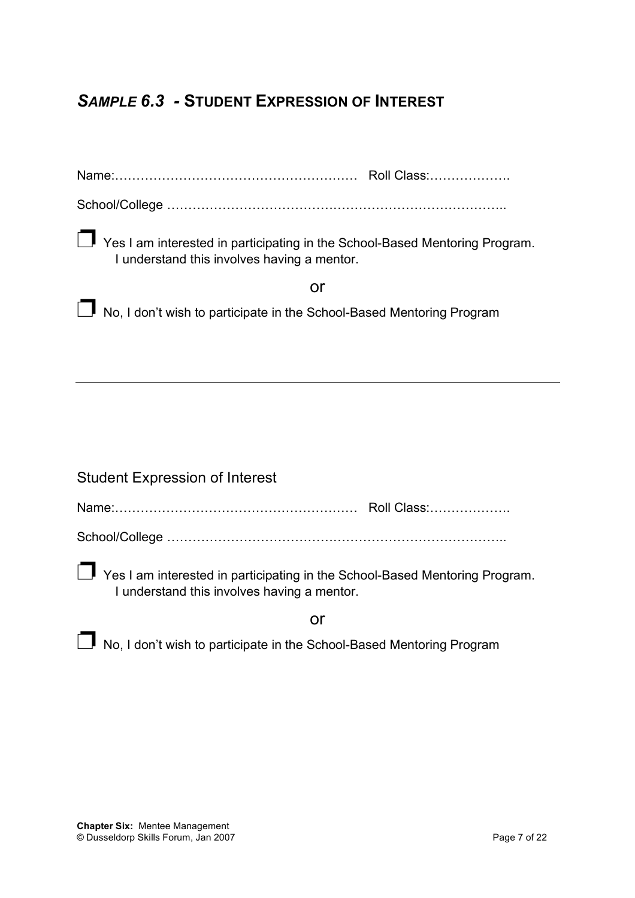# *SAMPLE 6.3 -* **STUDENT EXPRESSION OF INTEREST**

| ■ Yes I am interested in participating in the School-Based Mentoring Program.<br>I understand this involves having a mentor. |
|------------------------------------------------------------------------------------------------------------------------------|
| or                                                                                                                           |
| No, I don't wish to participate in the School-Based Mentoring Program                                                        |
|                                                                                                                              |
|                                                                                                                              |
|                                                                                                                              |
|                                                                                                                              |
|                                                                                                                              |
| <b>Student Expression of Interest</b>                                                                                        |
|                                                                                                                              |
|                                                                                                                              |
| Yes I am interested in participating in the School-Based Mentoring Program.<br>I understand this involves having a mentor.   |
| or                                                                                                                           |
| No, I don't wish to participate in the School-Based Mentoring Program                                                        |

 $\overline{a}$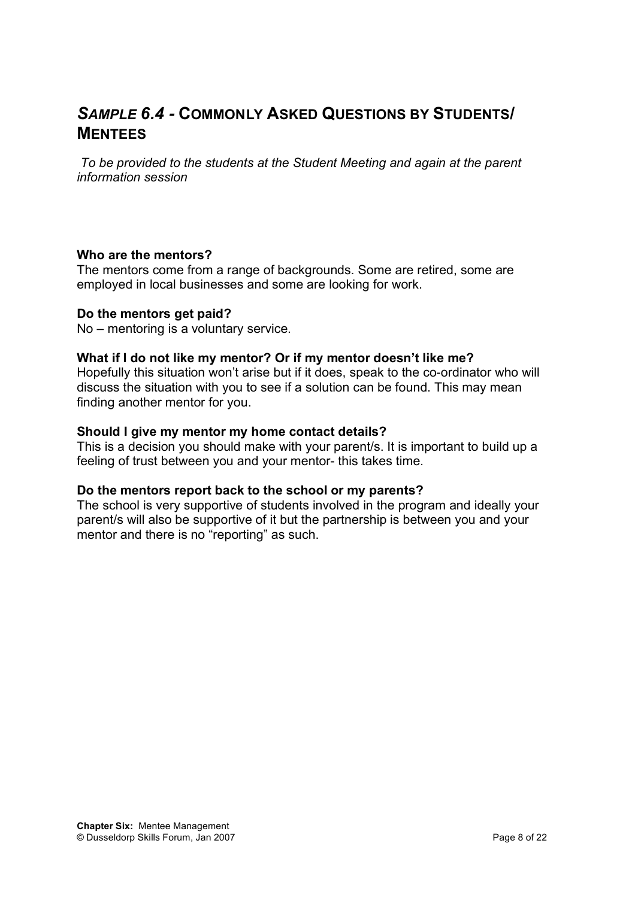# *SAMPLE 6.4 -* **COMMONLY ASKED QUESTIONS BY STUDENTS/ MENTEES**

*To be provided to the students at the Student Meeting and again at the parent information session*

#### **Who are the mentors?**

The mentors come from a range of backgrounds. Some are retired, some are employed in local businesses and some are looking for work.

#### **Do the mentors get paid?**

No – mentoring is a voluntary service.

#### **What if I do not like my mentor? Or if my mentor doesn't like me?**

Hopefully this situation won't arise but if it does, speak to the co-ordinator who will discuss the situation with you to see if a solution can be found. This may mean finding another mentor for you.

#### **Should I give my mentor my home contact details?**

This is a decision you should make with your parent/s. It is important to build up a feeling of trust between you and your mentor- this takes time.

#### **Do the mentors report back to the school or my parents?**

The school is very supportive of students involved in the program and ideally your parent/s will also be supportive of it but the partnership is between you and your mentor and there is no "reporting" as such.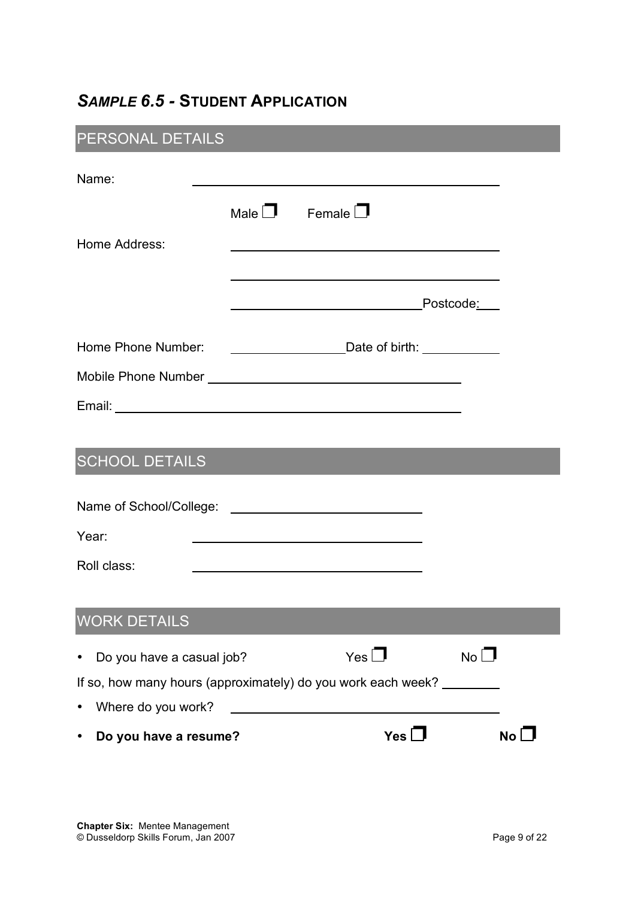# *SAMPLE 6.5 -* **STUDENT APPLICATION**

# PERSONAL DETAILS

| Name:                                                        |  |                           |             |      |
|--------------------------------------------------------------|--|---------------------------|-------------|------|
|                                                              |  | Male $\Box$ Female $\Box$ |             |      |
| Home Address:                                                |  |                           |             |      |
|                                                              |  |                           |             |      |
| Home Phone Number:                                           |  |                           |             |      |
|                                                              |  |                           |             |      |
|                                                              |  |                           |             |      |
|                                                              |  |                           |             |      |
| <b>SCHOOL DETAILS</b>                                        |  |                           |             |      |
|                                                              |  |                           |             |      |
| Year:                                                        |  |                           |             |      |
| Roll class:                                                  |  |                           |             |      |
|                                                              |  |                           |             |      |
| <b>WORK DETAILS</b>                                          |  |                           |             |      |
| Do you have a casual job?                                    |  | Yes                       | $No$ $\Box$ |      |
| If so, how many hours (approximately) do you work each week? |  |                           |             |      |
| Where do you work?<br>$\bullet$                              |  |                           |             |      |
| Do you have a resume?                                        |  | Yes $\square$             |             | No l |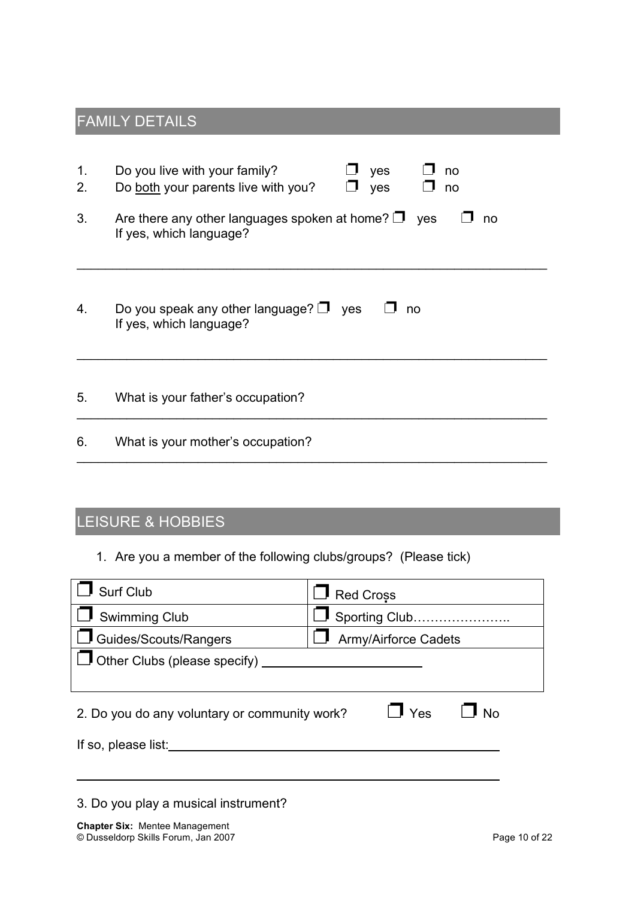# FAMILY DETAILS

| 1.<br>2. | Do you live with your family?<br>yes<br>$\Box$ no<br>Do both your parents live with you?<br>yes<br>$\square$ no |
|----------|-----------------------------------------------------------------------------------------------------------------|
| 3.       | Are there any other languages spoken at home? $\Box$ yes<br>no<br>If yes, which language?                       |
| 4.       | Do you speak any other language? $\Box$ yes<br>no<br>If yes, which language?                                    |
| 5.       | What is your father's occupation?                                                                               |
| 6.       | What is your mother's occupation?                                                                               |

# LEISURE & HOBBIES

1. Are you a member of the following clubs/groups? (Please tick)

| <b>Surf Club</b>                              | <b>Red Cross</b>            |  |  |  |
|-----------------------------------------------|-----------------------------|--|--|--|
| $\Box$ Swimming Club                          | Sporting Club               |  |  |  |
| Guides/Scouts/Rangers                         | <b>Army/Airforce Cadets</b> |  |  |  |
| $\Box$ Other Clubs (please specify)           |                             |  |  |  |
|                                               |                             |  |  |  |
| 2. Do you do any voluntary or community work? | $\Box$ Yes<br><b>No</b>     |  |  |  |
| If so, please list:                           |                             |  |  |  |
|                                               |                             |  |  |  |
|                                               |                             |  |  |  |

3. Do you play a musical instrument?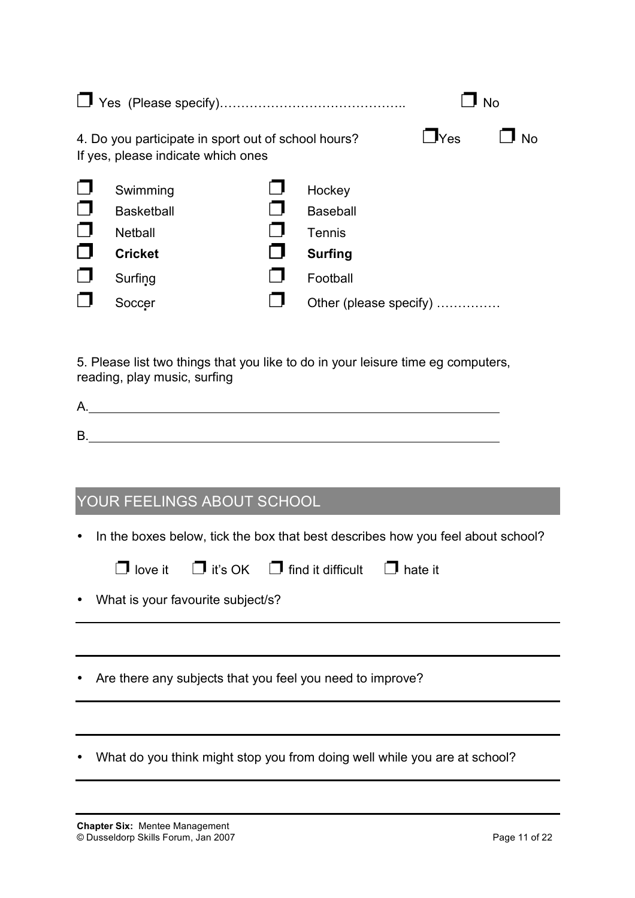| $\mathsf{I}_{\mathsf{Yes}}$<br><b>No</b><br>4. Do you participate in sport out of school hours?<br>If yes, please indicate which ones<br>Swimming<br>Hockey<br>$\Box$<br><b>Basketball</b><br><b>Baseball</b><br>$\Box$<br><b>Netball</b><br>Tennis<br>Ο<br><b>Cricket</b><br><b>Surfing</b><br>Football<br>Surfing<br>Soccer<br>Other (please specify)<br>5. Please list two things that you like to do in your leisure time eg computers,<br>reading, play music, surfing<br>YOUR FEELINGS ABOUT SCHOOL |  |  |  |  |
|-----------------------------------------------------------------------------------------------------------------------------------------------------------------------------------------------------------------------------------------------------------------------------------------------------------------------------------------------------------------------------------------------------------------------------------------------------------------------------------------------------------|--|--|--|--|
|                                                                                                                                                                                                                                                                                                                                                                                                                                                                                                           |  |  |  |  |
|                                                                                                                                                                                                                                                                                                                                                                                                                                                                                                           |  |  |  |  |
|                                                                                                                                                                                                                                                                                                                                                                                                                                                                                                           |  |  |  |  |
|                                                                                                                                                                                                                                                                                                                                                                                                                                                                                                           |  |  |  |  |
| In the boxes below, tick the box that best describes how you feel about school?<br>$\mathbf{l}$ it's OK<br>$\mathbf I$ find it difficult<br>love it<br>hate it<br>What is your favourite subject/s?                                                                                                                                                                                                                                                                                                       |  |  |  |  |
| Are there any subjects that you feel you need to improve?                                                                                                                                                                                                                                                                                                                                                                                                                                                 |  |  |  |  |
| What do you think might stop you from doing well while you are at school?                                                                                                                                                                                                                                                                                                                                                                                                                                 |  |  |  |  |

÷,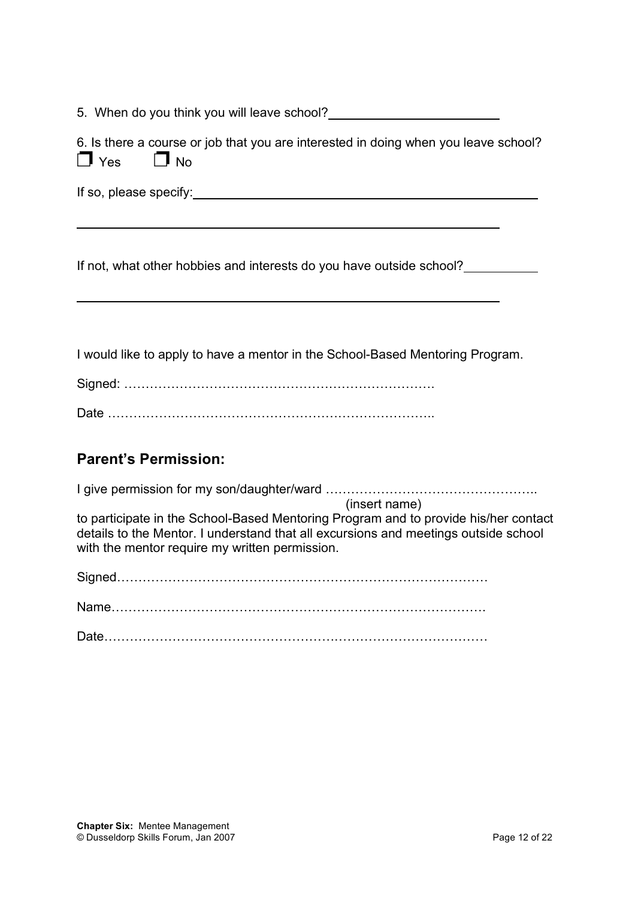5. When do you think you will leave school?

|                      | 6. Is there a course or job that you are interested in doing when you leave school? |  |  |  |
|----------------------|-------------------------------------------------------------------------------------|--|--|--|
| $\Box$ Yes $\Box$ No |                                                                                     |  |  |  |

If so, please specify:

If not, what other hobbies and interests do you have outside school?

I would like to apply to have a mentor in the School-Based Mentoring Program.

Signed: ……………………………………………………………….

Date …………………………………………………………………..

### **Parent's Permission:**

I give permission for my son/daughter/ward …………………………………………..

(insert name) to participate in the School-Based Mentoring Program and to provide his/her contact details to the Mentor. I understand that all excursions and meetings outside school with the mentor require my written permission.

Signed……………………………………………………………………………

Name…………………………………………………………………………….

Date………………………………………………………………………………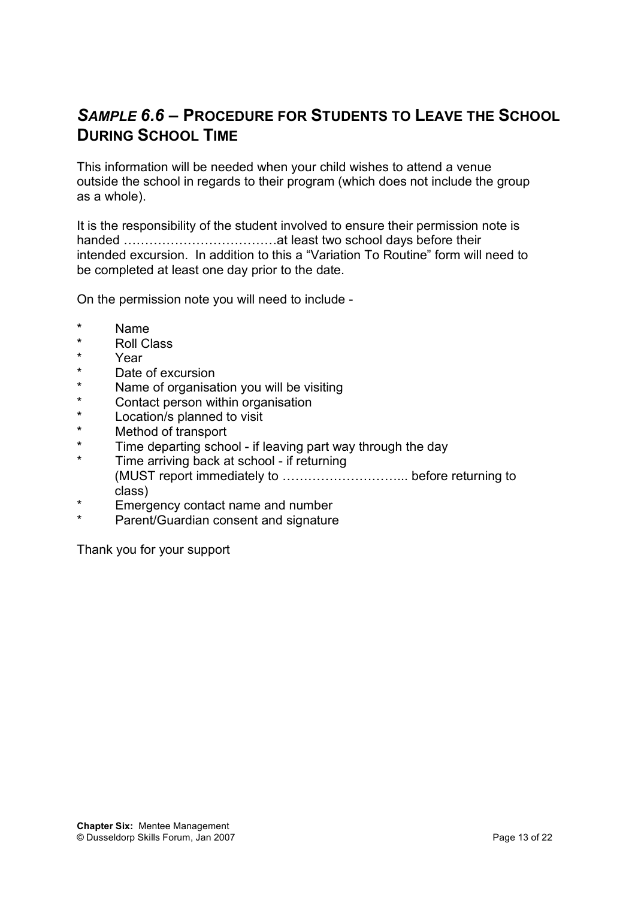## *SAMPLE 6.6 –* **PROCEDURE FOR STUDENTS TO LEAVE THE SCHOOL DURING SCHOOL TIME**

This information will be needed when your child wishes to attend a venue outside the school in regards to their program (which does not include the group as a whole).

It is the responsibility of the student involved to ensure their permission note is handed ………………………………at least two school days before their intended excursion. In addition to this a "Variation To Routine" form will need to be completed at least one day prior to the date.

On the permission note you will need to include -

- Name
- \* Roll Class
- \* Year
- \* Date of excursion
- Name of organisation you will be visiting
- \* Contact person within organisation<br>\* Location/s planned to visit
- \* Location/s planned to visit
- \* Method of transport<br>\* Fime departing only
- Time departing school if leaving part way through the day
- Time arriving back at school if returning (MUST report immediately to ………………………... before returning to class)
- Emergency contact name and number
- Parent/Guardian consent and signature

Thank you for your support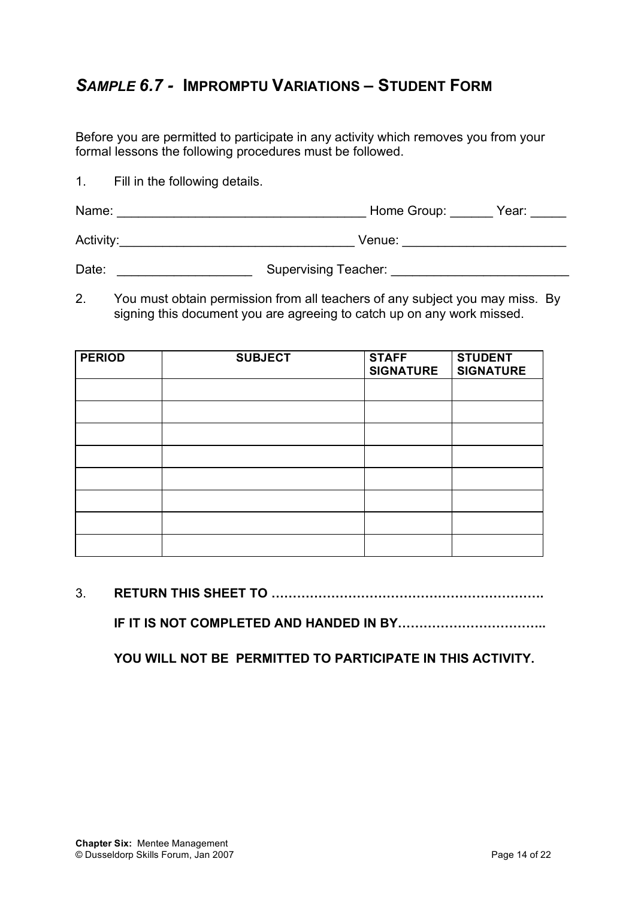## *SAMPLE 6.7 -* **IMPROMPTU VARIATIONS – STUDENT FORM**

Before you are permitted to participate in any activity which removes you from your formal lessons the following procedures must be followed.

1. Fill in the following details.

| Name:     | Home Group: | Year: |
|-----------|-------------|-------|
| Activity: | Venue:      |       |

Date: etc. European Supervising Teacher:  $\sim$  Supervising Teacher:

2. You must obtain permission from all teachers of any subject you may miss. By signing this document you are agreeing to catch up on any work missed.

| <b>PERIOD</b> | <b>SUBJECT</b> | <b>STAFF</b><br><b>SIGNATURE</b> | <b>STUDENT</b><br><b>SIGNATURE</b> |
|---------------|----------------|----------------------------------|------------------------------------|
|               |                |                                  |                                    |
|               |                |                                  |                                    |
|               |                |                                  |                                    |
|               |                |                                  |                                    |
|               |                |                                  |                                    |
|               |                |                                  |                                    |
|               |                |                                  |                                    |
|               |                |                                  |                                    |

3. **RETURN THIS SHEET TO ……………………………………………………….**

**IF IT IS NOT COMPLETED AND HANDED IN BY……………………………..**

**YOU WILL NOT BE PERMITTED TO PARTICIPATE IN THIS ACTIVITY.**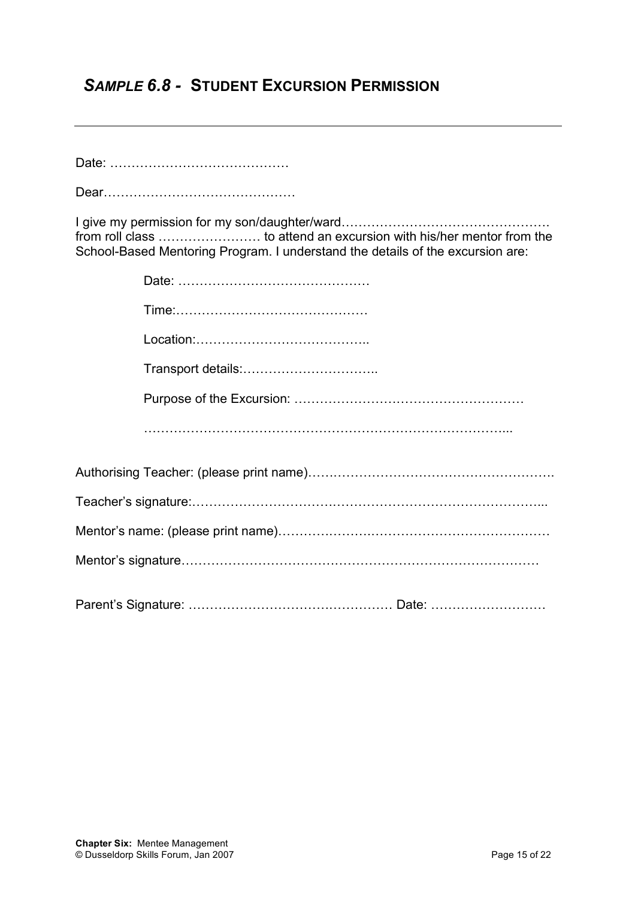## *SAMPLE 6.8 -* **STUDENT EXCURSION PERMISSION**

Dear………………………………………

| School-Based Mentoring Program. I understand the details of the excursion are: |
|--------------------------------------------------------------------------------|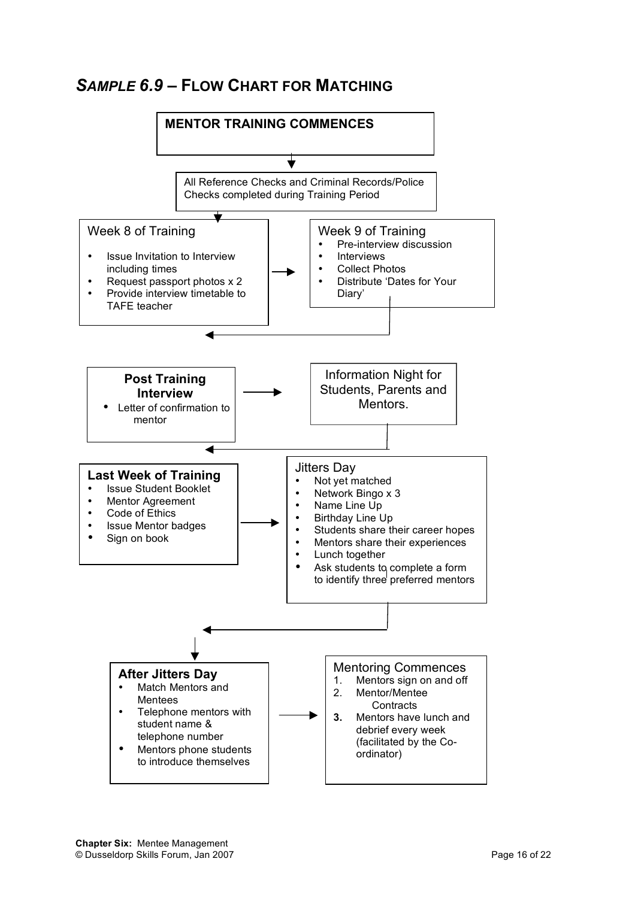## *SAMPLE 6.9 –* **FLOW CHART FOR MATCHING**

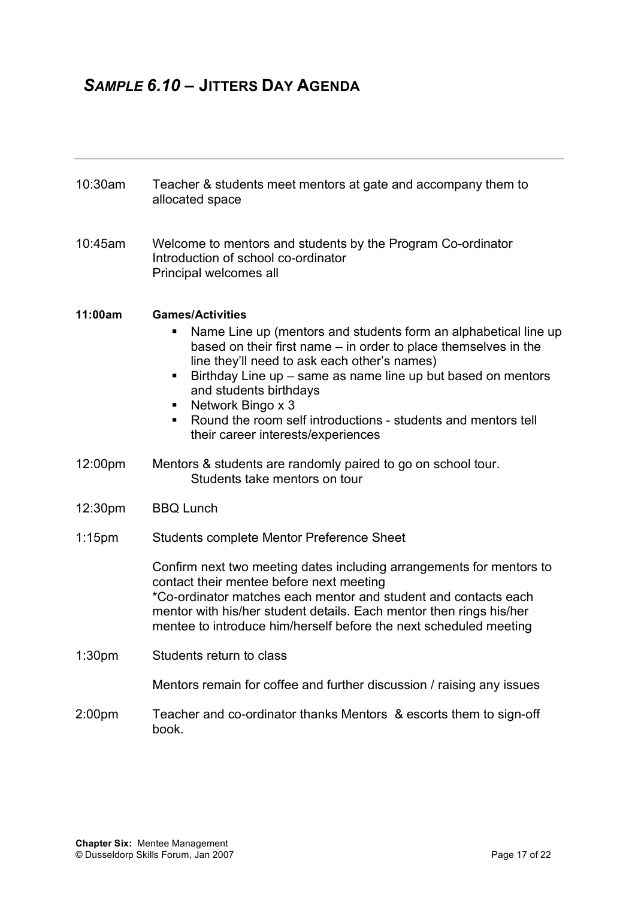# *SAMPLE 6.10 –* **JITTERS DAY AGENDA**

| 10:30am            | Teacher & students meet mentors at gate and accompany them to<br>allocated space                                                                                                                                                                                                                                                                                                                                                              |
|--------------------|-----------------------------------------------------------------------------------------------------------------------------------------------------------------------------------------------------------------------------------------------------------------------------------------------------------------------------------------------------------------------------------------------------------------------------------------------|
| 10:45am            | Welcome to mentors and students by the Program Co-ordinator<br>Introduction of school co-ordinator<br>Principal welcomes all                                                                                                                                                                                                                                                                                                                  |
| 11:00am            | <b>Games/Activities</b><br>Name Line up (mentors and students form an alphabetical line up<br>based on their first name – in order to place themselves in the<br>line they'll need to ask each other's names)<br>Birthday Line up – same as name line up but based on mentors<br>п<br>and students birthdays<br>Network Bingo x 3<br>ш<br>Round the room self introductions - students and mentors tell<br>their career interests/experiences |
| 12:00pm            | Mentors & students are randomly paired to go on school tour.<br>Students take mentors on tour                                                                                                                                                                                                                                                                                                                                                 |
| 12:30pm            | <b>BBQ Lunch</b>                                                                                                                                                                                                                                                                                                                                                                                                                              |
| $1:15$ pm          | Students complete Mentor Preference Sheet                                                                                                                                                                                                                                                                                                                                                                                                     |
|                    | Confirm next two meeting dates including arrangements for mentors to<br>contact their mentee before next meeting<br>*Co-ordinator matches each mentor and student and contacts each<br>mentor with his/her student details. Each mentor then rings his/her<br>mentee to introduce him/herself before the next scheduled meeting                                                                                                               |
| 1:30 <sub>pm</sub> | Students return to class                                                                                                                                                                                                                                                                                                                                                                                                                      |
|                    | Mentors remain for coffee and further discussion / raising any issues                                                                                                                                                                                                                                                                                                                                                                         |
| 2:00pm             | Teacher and co-ordinator thanks Mentors & escorts them to sign-off<br>book.                                                                                                                                                                                                                                                                                                                                                                   |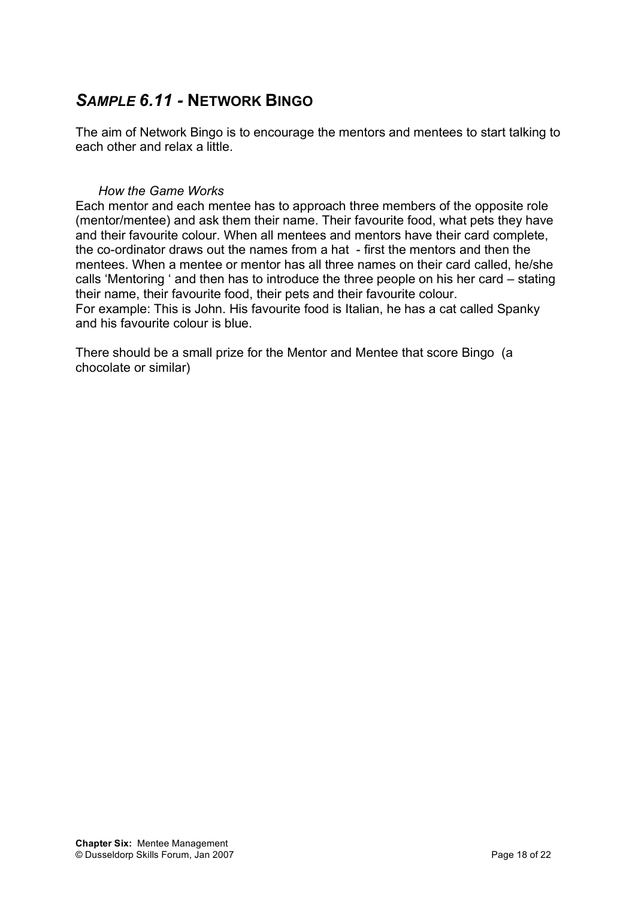## *SAMPLE 6.11 -* **NETWORK BINGO**

The aim of Network Bingo is to encourage the mentors and mentees to start talking to each other and relax a little.

#### *How the Game Works*

Each mentor and each mentee has to approach three members of the opposite role (mentor/mentee) and ask them their name. Their favourite food, what pets they have and their favourite colour. When all mentees and mentors have their card complete, the co-ordinator draws out the names from a hat - first the mentors and then the mentees. When a mentee or mentor has all three names on their card called, he/she calls 'Mentoring ' and then has to introduce the three people on his her card – stating their name, their favourite food, their pets and their favourite colour. For example: This is John. His favourite food is Italian, he has a cat called Spanky and his favourite colour is blue.

There should be a small prize for the Mentor and Mentee that score Bingo (a chocolate or similar)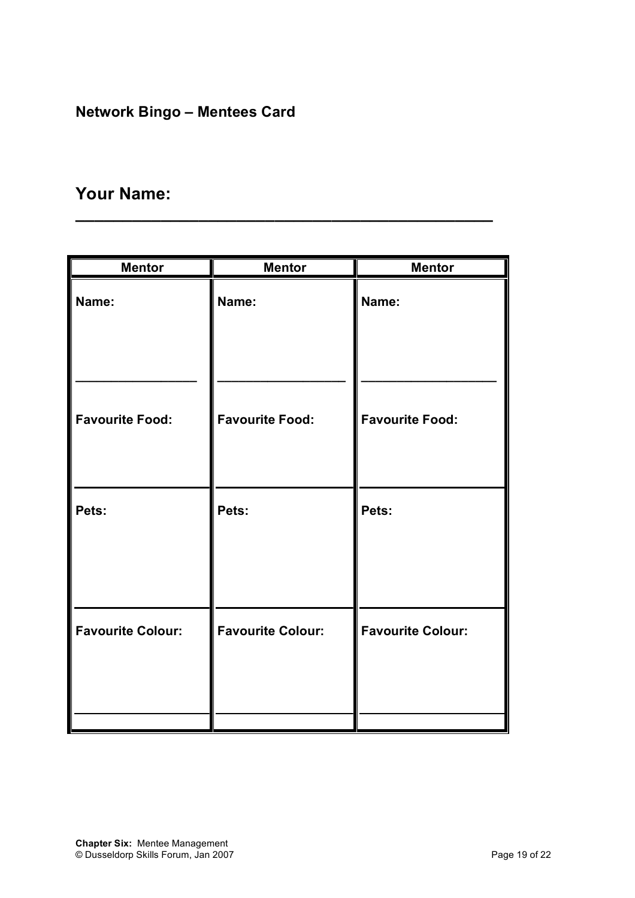# **Network Bingo – Mentees Card**

# **Your Name:**

| <b>Mentor</b>            | <b>Mentor</b>            | <b>Mentor</b>            |
|--------------------------|--------------------------|--------------------------|
| Name:                    | Name:                    | Name:                    |
| <b>Favourite Food:</b>   | <b>Favourite Food:</b>   | <b>Favourite Food:</b>   |
| Pets:                    | Pets:                    | Pets:                    |
| <b>Favourite Colour:</b> | <b>Favourite Colour:</b> | <b>Favourite Colour:</b> |

**\_\_\_\_\_\_\_\_\_\_\_\_\_\_\_\_\_\_\_\_\_\_\_\_\_\_\_\_\_\_\_\_\_\_\_\_\_\_\_\_\_\_\_\_**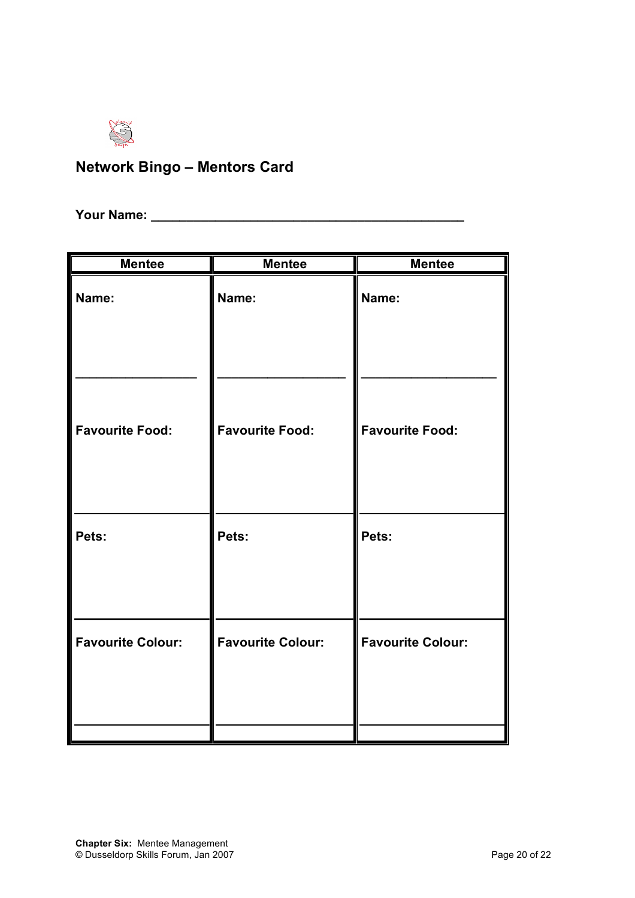

# **Network Bingo – Mentors Card**

**Your Name: \_\_\_\_\_\_\_\_\_\_\_\_\_\_\_\_\_\_\_\_\_\_\_\_\_\_\_\_\_\_\_\_\_\_\_\_\_\_\_\_\_\_\_\_**

| <b>Mentee</b>            | <b>Mentee</b>            | <b>Mentee</b>            |
|--------------------------|--------------------------|--------------------------|
| Name:                    | Name:                    | Name:                    |
| <b>Favourite Food:</b>   | <b>Favourite Food:</b>   | <b>Favourite Food:</b>   |
| Pets:                    | Pets:                    | Pets:                    |
| <b>Favourite Colour:</b> | <b>Favourite Colour:</b> | <b>Favourite Colour:</b> |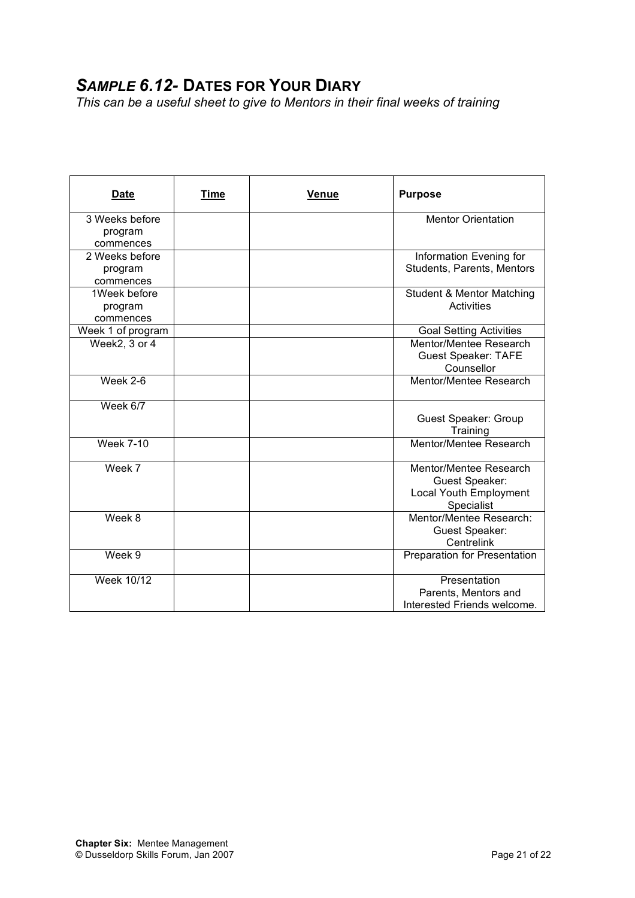# *SAMPLE 6.12-* **DATES FOR YOUR DIARY**

*This can be a useful sheet to give to Mentors in their final weeks of training*

| <b>Date</b>                            | Time | Venue | <b>Purpose</b>                                                                                       |
|----------------------------------------|------|-------|------------------------------------------------------------------------------------------------------|
| 3 Weeks before<br>program<br>commences |      |       | <b>Mentor Orientation</b>                                                                            |
| 2 Weeks before<br>program<br>commences |      |       | Information Evening for<br>Students, Parents, Mentors                                                |
| 1Week before<br>program<br>commences   |      |       | <b>Student &amp; Mentor Matching</b><br>Activities                                                   |
| Week 1 of program<br>Week2, 3 or 4     |      |       | <b>Goal Setting Activities</b><br>Mentor/Mentee Research<br><b>Guest Speaker: TAFE</b><br>Counsellor |
| Week 2-6                               |      |       | Mentor/Mentee Research                                                                               |
| Week 6/7                               |      |       | Guest Speaker: Group<br>Training                                                                     |
| <b>Week 7-10</b>                       |      |       | Mentor/Mentee Research                                                                               |
| Week 7                                 |      |       | Mentor/Mentee Research<br>Guest Speaker:<br>Local Youth Employment<br>Specialist                     |
| Week 8                                 |      |       | Mentor/Mentee Research:<br><b>Guest Speaker:</b><br>Centrelink                                       |
| Week 9                                 |      |       | Preparation for Presentation                                                                         |
| Week 10/12                             |      |       | Presentation<br>Parents, Mentors and<br>Interested Friends welcome.                                  |